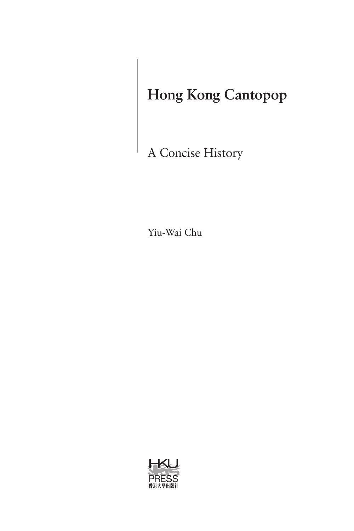# **Hong Kong Cantopop**

A Concise History

Yiu-Wai Chu

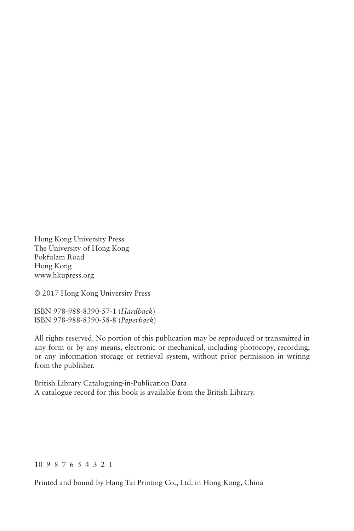Hong Kong University Press The University of Hong Kong Pokfulam Road Hong Kong www.hkupress.org

© 2017 Hong Kong University Press

ISBN 978-988-8390-57-1 (*Hardback*) ISBN 978-988-8390-58-8 (*Paperback*)

All rights reserved. No portion of this publication may be reproduced or transmitted in any form or by any means, electronic or mechanical, including photocopy, recording, or any information storage or retrieval system, without prior permission in writing from the publisher.

British Library Cataloguing-in-Publication Data A catalogue record for this book is available from the British Library.

### 10 9 8 7 6 5 4 3 2 1

Printed and bound by Hang Tai Printing Co., Ltd. in Hong Kong, China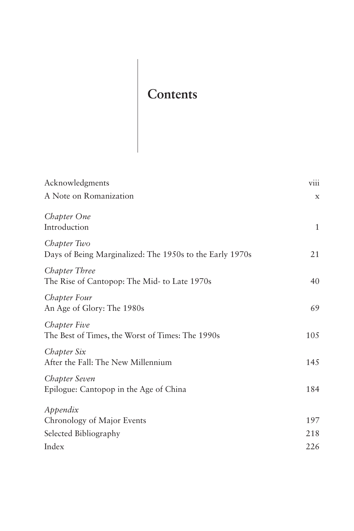# **Contents**

| Acknowledgments                                                         | viii        |
|-------------------------------------------------------------------------|-------------|
| A Note on Romanization                                                  | $\mathbf x$ |
| Chapter One<br>Introduction                                             | 1           |
| Chapter Two<br>Days of Being Marginalized: The 1950s to the Early 1970s | 21          |
| Chapter Three<br>The Rise of Cantopop: The Mid- to Late 1970s           | 40          |
| Chapter Four<br>An Age of Glory: The 1980s                              | 69          |
| Chapter Five<br>The Best of Times, the Worst of Times: The 1990s        | 105         |
| Chapter Six<br>After the Fall: The New Millennium                       | 145         |
| Chapter Seven<br>Epilogue: Cantopop in the Age of China                 | 184         |
| Appendix                                                                |             |
| Chronology of Major Events                                              | 197         |
| Selected Bibliography                                                   | 218         |
| Index                                                                   | 226         |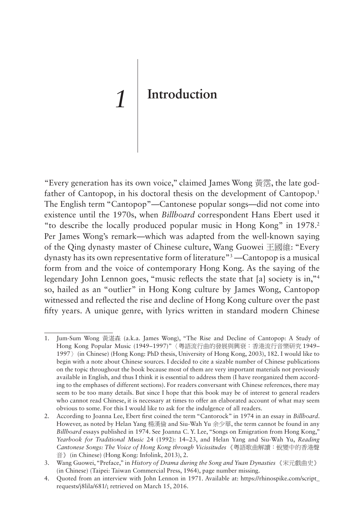# **Introduction** *1*

"Every generation has its own voice," claimed James Wong 黃霑, the late godfather of Cantopop, in his doctoral thesis on the development of Cantopop.<sup>1</sup> The English term "Cantopop"—Cantonese popular songs—did not come into existence until the 1970s, when *Billboard* correspondent Hans Ebert used it "to describe the locally produced popular music in Hong Kong" in 1978.2 Per James Wong's remark—which was adapted from the well-known saying of the Qing dynasty master of Chinese culture, Wang Guowei 王國維: "Every dynasty has its own representative form of literature"3 —Cantopop is a musical form from and the voice of contemporary Hong Kong. As the saying of the legendary John Lennon goes, "music reflects the state that [a] society is in,"<sup>4</sup> so, hailed as an "outlier" in Hong Kong culture by James Wong, Cantopop witnessed and reflected the rise and decline of Hong Kong culture over the past fifty years. A unique genre, with lyrics written in standard modern Chinese

<sup>1.</sup> Jum-Sum Wong 黃湛森 (a.k.a. James Wong), "The Rise and Decline of Cantopop: A Study of Hong Kong Popular Music (1949–1997)" 〈粵語流行曲的發展與興衰:香港流行音樂研究 1949– 1997〉 (in Chinese) (Hong Kong: PhD thesis, University of Hong Kong, 2003), 182. I would like to begin with a note about Chinese sources. I decided to cite a sizable number of Chinese publications on the topic throughout the book because most of them are very important materials not previously available in English, and thus I think it is essential to address them (I have reorganized them according to the emphases of different sections). For readers conversant with Chinese references, there may seem to be too many details. But since I hope that this book may be of interest to general readers who cannot read Chinese, it is necessary at times to offer an elaborated account of what may seem obvious to some. For this I would like to ask for the indulgence of all readers.

<sup>2.</sup> According to Joanna Lee, Ebert first coined the term "Cantorock" in 1974 in an essay in *Billboard*. However, as noted by Helan Yang 楊漢倫 and Siu-Wah Yu 余少華, the term cannot be found in any *Billboard* essays published in 1974. See Joanna C. Y. Lee, "Songs on Emigration from Hong Kong," *Yearbook for Traditional Music* 24 (1992): 14–23, and Helan Yang and Siu-Wah Yu, *Reading Cantonese Songs: The Voice of Hong Kong through Vicissitudes*《粵語歌曲解讀:蛻變中的香港聲 音》 (in Chinese) (Hong Kong: Infolink, 2013), 2.

<sup>3.</sup> Wang Guowei, "Preface," in *History of Drama during the Song and Yuan Dynasties*《宋元戲曲史》 (in Chinese) (Taipei: Taiwan Commercial Press, 1964), page number missing.

<sup>4.</sup> Quoted from an interview with John Lennon in 1971. Available at: https://rhinospike.com/script\_ requests/j8lila/681/; retrieved on March 15, 2016.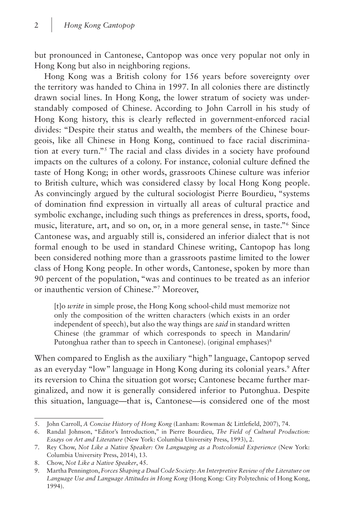but pronounced in Cantonese, Cantopop was once very popular not only in Hong Kong but also in neighboring regions.

Hong Kong was a British colony for 156 years before sovereignty over the territory was handed to China in 1997. In all colonies there are distinctly drawn social lines. In Hong Kong, the lower stratum of society was understandably composed of Chinese. According to John Carroll in his study of Hong Kong history, this is clearly reflected in government-enforced racial divides: "Despite their status and wealth, the members of the Chinese bourgeois, like all Chinese in Hong Kong, continued to face racial discrimination at every turn."5 The racial and class divides in a society have profound impacts on the cultures of a colony. For instance, colonial culture defined the taste of Hong Kong; in other words, grassroots Chinese culture was inferior to British culture, which was considered classy by local Hong Kong people. As convincingly argued by the cultural sociologist Pierre Bourdieu, "systems of domination find expression in virtually all areas of cultural practice and symbolic exchange, including such things as preferences in dress, sports, food, music, literature, art, and so on, or, in a more general sense, in taste."6 Since Cantonese was, and arguably still is, considered an inferior dialect that is not formal enough to be used in standard Chinese writing, Cantopop has long been considered nothing more than a grassroots pastime limited to the lower class of Hong Kong people. In other words, Cantonese, spoken by more than 90 percent of the population, "was and continues to be treated as an inferior or inauthentic version of Chinese."7 Moreover,

[t]o *write* in simple prose, the Hong Kong school-child must memorize not only the composition of the written characters (which exists in an order independent of speech), but also the way things are *said* in standard written Chinese (the grammar of which corresponds to speech in Mandarin/ Putonghua rather than to speech in Cantonese). (original emphases)<sup>8</sup>

When compared to English as the auxiliary "high" language, Cantopop served as an everyday "low" language in Hong Kong during its colonial years.<sup>9</sup> After its reversion to China the situation got worse; Cantonese became further marginalized, and now it is generally considered inferior to Putonghua. Despite this situation, language—that is, Cantonese—is considered one of the most

<sup>5.</sup> John Carroll, *A Concise History of Hong Kong* (Lanham: Rowman & Littlefield, 2007), 74.

<sup>6.</sup> Randal Johnson, "Editor's Introduction," in Pierre Bourdieu, *The Field of Cultural Production: Essays on Art and Literature* (New York: Columbia University Press, 1993), 2.

<sup>7.</sup> Rey Chow, *Not Like a Native Speaker: On Languaging as a Postcolonial Experience* (New York: Columbia University Press, 2014), 13.

<sup>8.</sup> Chow, *Not Like a Native Speaker*, 45.

<sup>9.</sup> Martha Pennington, *Forces Shaping a Dual Code Society: An Interpretive Review of the Literature on Language Use and Language Attitudes in Hong Kong* (Hong Kong: City Polytechnic of Hong Kong, 1994).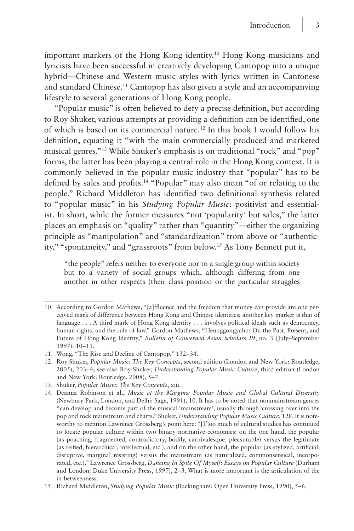important markers of the Hong Kong identity.10 Hong Kong musicians and lyricists have been successful in creatively developing Cantopop into a unique hybrid—Chinese and Western music styles with lyrics written in Cantonese and standard Chinese.11 Cantopop has also given a style and an accompanying lifestyle to several generations of Hong Kong people.

"Popular music" is often believed to defy a precise definition, but according to Roy Shuker, various attempts at providing a definition can be identified, one of which is based on its commercial nature.12 In this book I would follow his definition, equating it "with the main commercially produced and marketed musical genres."13 While Shuker's emphasis is on traditional "rock" and "pop" forms, the latter has been playing a central role in the Hong Kong context. It is commonly believed in the popular music industry that "popular" has to be defined by sales and profits.<sup>14</sup> "Popular" may also mean "of or relating to the people." Richard Middleton has identified two definitional synthesis related to "popular music" in his *Studying Popular Music*: positivist and essentialist. In short, while the former measures "not 'popularity' but sales," the latter places an emphasis on "quality" rather than "quantity"—either the organizing principle as "manipulation" and "standardization" from above or "authenticity," "spontaneity," and "grassroots" from below.15 As Tony Bennett put it,

"the people" refers neither to everyone nor to a single group within society but to a variety of social groups which, although differing from one another in other respects (their class position or the particular struggles

<sup>10.</sup> According to Gordon Mathews, "[a]ffluence and the freedom that money can provide are one perceived mark of difference between Hong Kong and Chinese identities; another key marker is that of language . . . A third mark of Hong Kong identity . . . involves political ideals such as democracy, human rights, and the rule of law." Gordon Mathews, "Heunggongyahn: On the Past, Present, and Future of Hong Kong Identity," *Bulletin of Concerned Asian Scholars* 29, no. 3 (July–September 1997): 10–11.

<sup>11.</sup> Wong, "The Rise and Decline of Cantopop," 132–34.

<sup>12.</sup> Roy Shuker, *Popular Music: The Key Concepts*, second edition (London and New York: Routledge, 2005), 203–4; see also Roy Shuker, *Understanding Popular Music Culture*, third edition (London and New York: Routledge, 2008), 5–7.

<sup>13.</sup> Shuker, *Popular Music: The Key Concepts*, xiii.

<sup>14.</sup> Deanna Robinson et al., *Music at the Margins: Popular Music and Global Cultural Diversity* (Newbury Park, London, and Delhi: Sage, 1991), 10. It has to be noted that nonmainstream genres "can develop and become part of the musical 'mainstream', usually through 'crossing over into the pop and rock mainstream and charts." Shuker, *Understanding Popular Music Culture*, 128. It is noteworthy to mention Lawrence Grossberg's point here: "[T]oo much of cultural studies has continued to locate popular culture within two binary normative economies: on the one hand, the popular (as poaching, fragmented, contradictory, bodily, carnivalesque, pleasurable) versus the legitimate (as reified, hierarchical, intellectual, etc.), and on the other hand, the popular (as stylized, artificial, disruptive, marginal resisting) versus the mainstream (as naturalized, commonsensical, incorporated, etc.)." Lawrence Grossberg, *Dancing In Spite Of Myself: Essays on Popular Culture* (Durham and London: Duke University Press, 1997), 2–3. What is more important is the articulation of the in-betweenness.

<sup>15.</sup> Richard Middleton, *Studying Popular Music* (Buckingham: Open University Press, 1990), 5–6.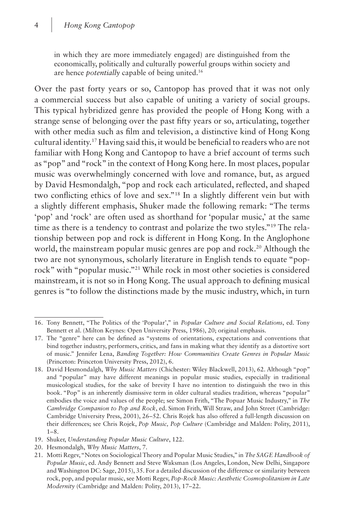in which they are more immediately engaged) are distinguished from the economically, politically and culturally powerful groups within society and are hence *potentially* capable of being united.16

Over the past forty years or so, Cantopop has proved that it was not only a commercial success but also capable of uniting a variety of social groups. This typical hybridized genre has provided the people of Hong Kong with a strange sense of belonging over the past fifty years or so, articulating, together with other media such as film and television, a distinctive kind of Hong Kong cultural identity.<sup>17</sup> Having said this, it would be beneficial to readers who are not familiar with Hong Kong and Cantopop to have a brief account of terms such as "pop" and "rock" in the context of Hong Kong here. In most places, popular music was overwhelmingly concerned with love and romance, but, as argued by David Hesmondalgh, "pop and rock each articulated, reflected, and shaped two conflicting ethics of love and sex."<sup>18</sup> In a slightly different vein but with a slightly different emphasis, Shuker made the following remark: "The terms 'pop' and 'rock' are often used as shorthand for 'popular music,' at the same time as there is a tendency to contrast and polarize the two styles."19 The relationship between pop and rock is different in Hong Kong. In the Anglophone world, the mainstream popular music genres are pop and rock.<sup>20</sup> Although the two are not synonymous, scholarly literature in English tends to equate "poprock" with "popular music."21 While rock in most other societies is considered mainstream, it is not so in Hong Kong. The usual approach to defining musical genres is "to follow the distinctions made by the music industry, which, in turn

<sup>16.</sup> Tony Bennett, "The Politics of the 'Popular'," in *Popular Culture and Social Relations*, ed. Tony Bennett et al. (Milton Keynes: Open University Press, 1986), 20; original emphasis.

<sup>17.</sup> The "genre" here can be defined as "systems of orientations, expectations and conventions that bind together industry, performers, critics, and fans in making what they identify as a distortive sort of music." Jennifer Lena, *Banding Together: How Communities Create Genres in Popular Music* (Princeton: Princeton University Press, 2012), 6.

<sup>18.</sup> David Hesmondalgh, *Why Music Matters* (Chichester: Wiley Blackwell, 2013), 62. Although "pop" and "popular" may have different meanings in popular music studies, especially in traditional musicological studies, for the sake of brevity I have no intention to distinguish the two in this book. "Pop" is an inherently dismissive term in older cultural studies tradition, whereas "popular" embodies the voice and values of the people; see Simon Frith, "The Popuar Music Industry," in *The Cambridge Companion to Pop and Rock*, ed. Simon Frith, Will Straw, and John Street (Cambridge: Cambridge University Press, 2001), 26–52. Chris Rojek has also offered a full-length discussion on their differences; see Chris Rojek, *Pop Music, Pop Culture* (Cambridge and Malden: Polity, 2011),  $1 - 8$ .

<sup>19.</sup> Shuker, *Understanding Popular Music Culture*, 122.

<sup>20.</sup> Hesmondalgh, *Why Music Matters*, 7.

<sup>21.</sup> Motti Regev, "Notes on Sociological Theory and Popular Music Studies," in *The SAGE Handbook of Popular Music*, ed. Andy Bennett and Steve Waksman (Los Angeles, London, New Delhi, Singapore and Washington DC: Sage, 2015), 35. For a detailed discussion of the difference or similarity between rock, pop, and popular music, see Motti Regev, *Pop-Rock Music: Aesthetic Cosmopolitanism in Late Modernity* (Cambridge and Malden: Polity, 2013), 17–22.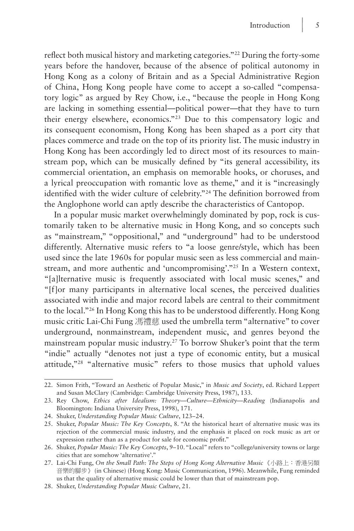reflect both musical history and marketing categories."<sup>22</sup> During the forty-some years before the handover, because of the absence of political autonomy in Hong Kong as a colony of Britain and as a Special Administrative Region of China, Hong Kong people have come to accept a so-called "compensatory logic" as argued by Rey Chow, i.e., "because the people in Hong Kong are lacking in something essential—political power—that they have to turn their energy elsewhere, economics."23 Due to this compensatory logic and its consequent economism, Hong Kong has been shaped as a port city that places commerce and trade on the top of its priority list. The music industry in Hong Kong has been accordingly led to direct most of its resources to mainstream pop, which can be musically defined by "its general accessibility, its commercial orientation, an emphasis on memorable hooks, or choruses, and a lyrical preoccupation with romantic love as theme," and it is "increasingly identified with the wider culture of celebrity."<sup>24</sup> The definition borrowed from the Anglophone world can aptly describe the characteristics of Cantopop.

In a popular music market overwhelmingly dominated by pop, rock is customarily taken to be alternative music in Hong Kong, and so concepts such as "mainstream," "oppositional," and "underground" had to be understood differently. Alternative music refers to "a loose genre/style, which has been used since the late 1960s for popular music seen as less commercial and mainstream, and more authentic and 'uncompromising'."25 In a Western context, "[a]lternative music is frequently associated with local music scenes," and "[f]or many participants in alternative local scenes, the perceived dualities associated with indie and major record labels are central to their commitment to the local."26 In Hong Kong this has to be understood differently. Hong Kong music critic Lai-Chi Fung 馮禮慈 used the umbrella term "alternative" to cover underground, nonmainstream, independent music, and genres beyond the mainstream popular music industry.27 To borrow Shuker's point that the term "indie" actually "denotes not just a type of economic entity, but a musical attitude,"28 "alternative music" refers to those musics that uphold values

<sup>22.</sup> Simon Frith, "Toward an Aesthetic of Popular Music," in *Music and Society*, ed. Richard Leppert and Susan McClary (Cambridge: Cambridge University Press, 1987), 133.

<sup>23.</sup> Rey Chow, *Ethics after Idealism: Theory—Culture—Ethnicity—Reading* (Indianapolis and Bloomington: Indiana University Press, 1998), 171.

<sup>24.</sup> Shuker, *Understanding Popular Music Culture*, 123–24.

<sup>25.</sup> Shuker, *Popular Music: The Key Concepts*, 8. "At the historical heart of alternative music was its rejection of the commercial music industry, and the emphasis it placed on rock music as art or expression rather than as a product for sale for economic profit."

<sup>26.</sup> Shuker, *Popular Music: The Key Concepts*, 9–10. "Local" refers to "college/university towns or large cities that are somehow 'alternative'."

<sup>27.</sup> Lai-Chi Fung, *On the Small Path: The Steps of Hong Kong Alternative Music*《小路上:香港另類 音樂的腳步》 (in Chinese) (Hong Kong: Music Communication, 1996). Meanwhile, Fung reminded us that the quality of alternative music could be lower than that of mainstream pop.

<sup>28.</sup> Shuker, *Understanding Popular Music Culture*, 21.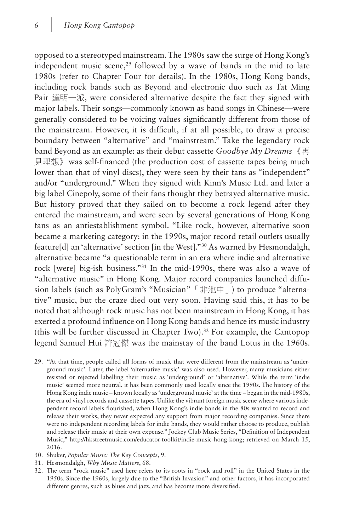opposed to a stereotyped mainstream. The 1980s saw the surge of Hong Kong's independent music scene,<sup>29</sup> followed by a wave of bands in the mid to late 1980s (refer to Chapter Four for details). In the 1980s, Hong Kong bands, including rock bands such as Beyond and electronic duo such as Tat Ming Pair 達明一派, were considered alternative despite the fact they signed with major labels. Their songs—commonly known as band songs in Chinese—were generally considered to be voicing values significantly different from those of the mainstream. However, it is difficult, if at all possible, to draw a precise boundary between "alternative" and "mainstream." Take the legendary rock band Beyond as an example: as their debut cassette *Goodbye My Dreams*《再 見理想》 was self-financed (the production cost of cassette tapes being much lower than that of vinyl discs), they were seen by their fans as "independent" and/or "underground." When they signed with Kinn's Music Ltd. and later a big label Cinepoly, some of their fans thought they betrayed alternative music. But history proved that they sailed on to become a rock legend after they entered the mainstream, and were seen by several generations of Hong Kong fans as an antiestablishment symbol. "Like rock, however, alternative soon became a marketing category: in the 1990s, major record retail outlets usually feature[d] an 'alternative' section [in the West]."30 As warned by Hesmondalgh, alternative became "a questionable term in an era where indie and alternative rock [were] big-ish business."31 In the mid-1990s, there was also a wave of "alternative music" in Hong Kong. Major record companies launched diffusion labels (such as PolyGram's "Musician" 「非池中」) to produce "alternative" music, but the craze died out very soon. Having said this, it has to be noted that although rock music has not been mainstream in Hong Kong, it has exerted a profound influence on Hong Kong bands and hence its music industry (this will be further discussed in Chapter Two).<sup>32</sup> For example, the Cantopop legend Samuel Hui 許冠傑 was the mainstay of the band Lotus in the 1960s.

- 30. Shuker, *Popular Music: The Key Concepts*, 9.
- 31. Hesmondalgh, *Why Music Matters*, 68.

<sup>29. &</sup>quot;At that time, people called all forms of music that were different from the mainstream as 'underground music'. Later, the label 'alternative music' was also used. However, many musicians either resisted or rejected labelling their music as 'underground' or 'alternative'. While the term 'indie music' seemed more neutral, it has been commonly used locally since the 1990s. The history of the Hong Kong indie music – known locally as 'underground music' at the time – began in the mid-1980s, the era of vinyl records and cassette tapes. Unlike the vibrant foreign music scene where various independent record labels flourished, when Hong Kong's indie bands in the 80s wanted to record and release their works, they never expected any support from major recording companies. Since there were no independent recording labels for indie bands, they would rather choose to produce, publish and release their music at their own expense." Jockey Club Music Series, "Definition of Independent Music," http://hkstreetmusic.com/educator-toolkit/indie-music-hong-kong; retrieved on March 15, 2016.

<sup>32.</sup> The term "rock music" used here refers to its roots in "rock and roll" in the United States in the 1950s. Since the 1960s, largely due to the "British Invasion" and other factors, it has incorporated different genres, such as blues and jazz, and has become more diversified.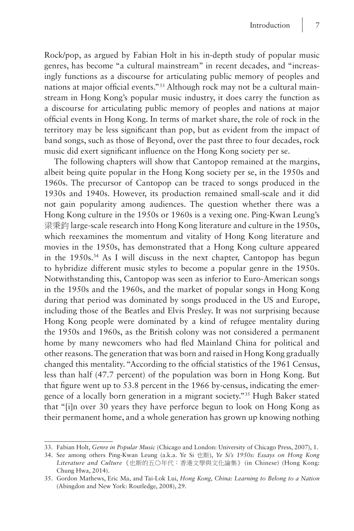Rock/pop, as argued by Fabian Holt in his in-depth study of popular music genres, has become "a cultural mainstream" in recent decades, and "increasingly functions as a discourse for articulating public memory of peoples and nations at major official events."<sup>33</sup> Although rock may not be a cultural mainstream in Hong Kong's popular music industry, it does carry the function as a discourse for articulating public memory of peoples and nations at major official events in Hong Kong. In terms of market share, the role of rock in the territory may be less significant than pop, but as evident from the impact of band songs, such as those of Beyond, over the past three to four decades, rock music did exert significant influence on the Hong Kong society per se.

The following chapters will show that Cantopop remained at the margins, albeit being quite popular in the Hong Kong society per se, in the 1950s and 1960s. The precursor of Cantopop can be traced to songs produced in the 1930s and 1940s. However, its production remained small-scale and it did not gain popularity among audiences. The question whether there was a Hong Kong culture in the 1950s or 1960s is a vexing one. Ping-Kwan Leung's 梁秉鈞 large-scale research into Hong Kong literature and culture in the 1950s, which reexamines the momentum and vitality of Hong Kong literature and movies in the 1950s, has demonstrated that a Hong Kong culture appeared in the 1950s.34 As I will discuss in the next chapter, Cantopop has begun to hybridize different music styles to become a popular genre in the 1950s. Notwithstanding this, Cantopop was seen as inferior to Euro-American songs in the 1950s and the 1960s, and the market of popular songs in Hong Kong during that period was dominated by songs produced in the US and Europe, including those of the Beatles and Elvis Presley. It was not surprising because Hong Kong people were dominated by a kind of refugee mentality during the 1950s and 1960s, as the British colony was not considered a permanent home by many newcomers who had fled Mainland China for political and other reasons. The generation that was born and raised in Hong Kong gradually changed this mentality. "According to the official statistics of the 1961 Census, less than half (47.7 percent) of the population was born in Hong Kong. But that figure went up to  $53.8$  percent in the 1966 by-census, indicating the emergence of a locally born generation in a migrant society."35 Hugh Baker stated that "[i]n over 30 years they have perforce begun to look on Hong Kong as their permanent home, and a whole generation has grown up knowing nothing

<sup>33.</sup> Fabian Holt, *Genre in Popular Music* (Chicago and London: University of Chicago Press, 2007), 1.

<sup>34.</sup> See among others Ping-Kwan Leung (a.k.a. Ye Si 也斯), *Ye Si's 1950s: Essays on Hong Kong Literature and Culture* 《也斯的五〇年代:香港文學與文化論集》 (in Chinese) (Hong Kong: Chung Hwa, 2014).

<sup>35.</sup> Gordon Mathews, Eric Ma, and Tai-Lok Lui, *Hong Kong, China: Learning to Belong to a Nation* (Abingdon and New York: Routledge, 2008), 29.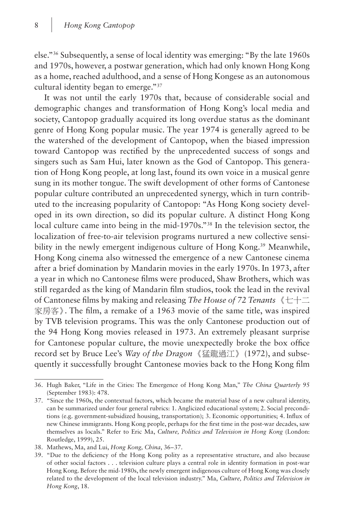else."36 Subsequently, a sense of local identity was emerging: "By the late 1960s and 1970s, however, a postwar generation, which had only known Hong Kong as a home, reached adulthood, and a sense of Hong Kongese as an autonomous cultural identity began to emerge."37

It was not until the early 1970s that, because of considerable social and demographic changes and transformation of Hong Kong's local media and society, Cantopop gradually acquired its long overdue status as the dominant genre of Hong Kong popular music. The year 1974 is generally agreed to be the watershed of the development of Cantopop, when the biased impression toward Cantopop was rectified by the unprecedented success of songs and singers such as Sam Hui, later known as the God of Cantopop. This generation of Hong Kong people, at long last, found its own voice in a musical genre sung in its mother tongue. The swift development of other forms of Cantonese popular culture contributed an unprecedented synergy, which in turn contributed to the increasing popularity of Cantopop: "As Hong Kong society developed in its own direction, so did its popular culture. A distinct Hong Kong local culture came into being in the mid-1970s."38 In the television sector, the localization of free-to-air television programs nurtured a new collective sensibility in the newly emergent indigenous culture of Hong Kong.<sup>39</sup> Meanwhile, Hong Kong cinema also witnessed the emergence of a new Cantonese cinema after a brief domination by Mandarin movies in the early 1970s. In 1973, after a year in which no Cantonese films were produced, Shaw Brothers, which was still regarded as the king of Mandarin film studios, took the lead in the revival of Cantonese films by making and releasing *The House of 72 Tenants* 《七十二 家房客》. The film, a remake of a 1963 movie of the same title, was inspired by TVB television programs. This was the only Cantonese production out of the 94 Hong Kong movies released in 1973. An extremely pleasant surprise for Cantonese popular culture, the movie unexpectedly broke the box office record set by Bruce Lee's *Way of the Dragon* 《猛龍過江》 (1972), and subsequently it successfully brought Cantonese movies back to the Hong Kong film

<sup>36.</sup> Hugh Baker, "Life in the Cities: The Emergence of Hong Kong Man," *The China Quarterly* 95 (September 1983): 478.

<sup>37. &</sup>quot;Since the 1960s, the contextual factors, which became the material base of a new cultural identity, can be summarized under four general rubrics: 1. Anglicized educational system; 2. Social preconditions (e.g. government-subsidized housing, transportation); 3. Economic opportunities; 4. Influx of new Chinese immigrants. Hong Kong people, perhaps for the first time in the post-war decades, saw themselves as locals." Refer to Eric Ma, *Culture, Politics and Television in Hong Kong* (London: Routledge, 1999), 25.

<sup>38.</sup> Mathews, Ma, and Lui, *Hong Kong, China*, 36–37.

<sup>39. &</sup>quot;Due to the deficiency of the Hong Kong polity as a representative structure, and also because of other social factors . . . television culture plays a central role in identity formation in post-war Hong Kong. Before the mid-1980s, the newly emergent indigenous culture of Hong Kong was closely related to the development of the local television industry." Ma, *Culture, Politics and Television in Hong Kong*, 18.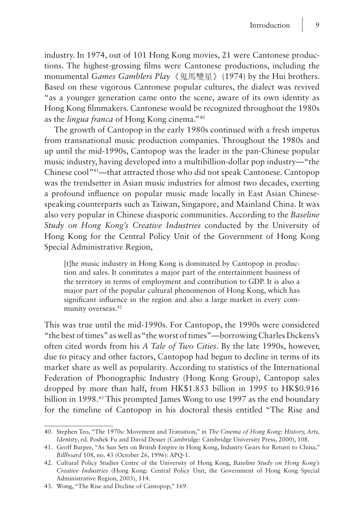industry. In 1974, out of 101 Hong Kong movies, 21 were Cantonese productions. The highest-grossing films were Cantonese productions, including the monumental *Games Gamblers Play*《鬼馬雙星》 (1974) by the Hui brothers. Based on these vigorous Cantonese popular cultures, the dialect was revived "as a younger generation came onto the scene, aware of its own identity as Hong Kong filmmakers. Cantonese would be recognized throughout the 1980s as the *lingua franca* of Hong Kong cinema."40

The growth of Cantopop in the early 1980s continued with a fresh impetus from transnational music production companies. Throughout the 1980s and up until the mid-1990s, Cantopop was the leader in the pan-Chinese popular music industry, having developed into a multibillion-dollar pop industry—"the Chinese cool"41—that attracted those who did not speak Cantonese. Cantopop was the trendsetter in Asian music industries for almost two decades, exerting a profound influence on popular music made locally in East Asian Chinesespeaking counterparts such as Taiwan, Singapore, and Mainland China. It was also very popular in Chinese diasporic communities. According to the *Baseline Study on Hong Kong's Creative Industries* conducted by the University of Hong Kong for the Central Policy Unit of the Government of Hong Kong Special Administrative Region,

[t]he music industry in Hong Kong is dominated by Cantopop in production and sales. It constitutes a major part of the entertainment business of the territory in terms of employment and contribution to GDP. It is also a major part of the popular cultural phenomenon of Hong Kong, which has significant influence in the region and also a large market in every community overseas.<sup>42</sup>

This was true until the mid-1990s. For Cantopop, the 1990s were considered "the best of times" as well as "the worst of times"—borrowing Charles Dickens's often cited words from his *A Tale of Two Cities*. By the late 1990s, however, due to piracy and other factors, Cantopop had begun to decline in terms of its market share as well as popularity. According to statistics of the International Federation of Phonographic Industry (Hong Kong Group), Cantopop sales dropped by more than half, from HK\$1.853 billion in 1995 to HK\$0.916 billion in 1998.<sup>43</sup> This prompted James Wong to use 1997 as the end boundary for the timeline of Cantopop in his doctoral thesis entitled "The Rise and

<sup>40.</sup> Stephen Teo, "The 1970s: Movement and Transition," in *The Cinema of Hong Kong: History, Arts, Identity*, ed. Poshek Fu and David Desser (Cambridge: Cambridge University Press, 2000), 108.

<sup>41.</sup> Geoff Burpee, "As Sun Sets on British Empire in Hong Kong, Industry Gears for Return to China," *Billboard* 108, no. 43 (October 26, 1996): APQ-1.

<sup>42.</sup> Cultural Policy Studies Centre of the University of Hong Kong, *Baseline Study on Hong Kong's Creative Industries* (Hong Kong: Central Policy Unit, the Government of Hong Kong Special Administrative Region, 2003), 114.

<sup>43.</sup> Wong, "The Rise and Decline of Cantopop," 169.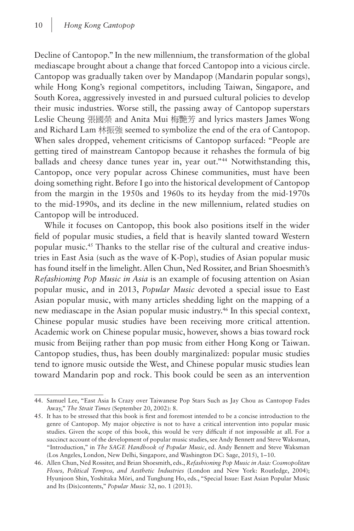Decline of Cantopop." In the new millennium, the transformation of the global mediascape brought about a change that forced Cantopop into a vicious circle. Cantopop was gradually taken over by Mandapop (Mandarin popular songs), while Hong Kong's regional competitors, including Taiwan, Singapore, and South Korea, aggressively invested in and pursued cultural policies to develop their music industries. Worse still, the passing away of Cantopop superstars Leslie Cheung 張國榮 and Anita Mui 梅艷芳 and lyrics masters James Wong and Richard Lam 林振強 seemed to symbolize the end of the era of Cantopop. When sales dropped, vehement criticisms of Cantopop surfaced: "People are getting tired of mainstream Cantopop because it rehashes the formula of big ballads and cheesy dance tunes year in, year out."<sup>44</sup> Notwithstanding this, Cantopop, once very popular across Chinese communities, must have been doing something right. Before I go into the historical development of Cantopop from the margin in the 1950s and 1960s to its heyday from the mid-1970s to the mid-1990s, and its decline in the new millennium, related studies on Cantopop will be introduced.

While it focuses on Cantopop, this book also positions itself in the wider field of popular music studies, a field that is heavily slanted toward Western popular music.45 Thanks to the stellar rise of the cultural and creative industries in East Asia (such as the wave of K-Pop), studies of Asian popular music has found itself in the limelight. Allen Chun, Ned Rossiter, and Brian Shoesmith's *Refashioning Pop Music in Asia* is an example of focusing attention on Asian popular music, and in 2013, *Popular Music* devoted a special issue to East Asian popular music, with many articles shedding light on the mapping of a new mediascape in the Asian popular music industry.<sup>46</sup> In this special context, Chinese popular music studies have been receiving more critical attention. Academic work on Chinese popular music, however, shows a bias toward rock music from Beijing rather than pop music from either Hong Kong or Taiwan. Cantopop studies, thus, has been doubly marginalized: popular music studies tend to ignore music outside the West, and Chinese popular music studies lean toward Mandarin pop and rock. This book could be seen as an intervention

<sup>44.</sup> Samuel Lee, "East Asia Is Crazy over Taiwanese Pop Stars Such as Jay Chou as Cantopop Fades Away," *The Strait Times* (September 20, 2002): 8.

<sup>45.</sup> It has to be stressed that this book is first and foremost intended to be a concise introduction to the genre of Cantopop. My major objective is not to have a critical intervention into popular music studies. Given the scope of this book, this would be very difficult if not impossible at all. For a succinct account of the development of popular music studies, see Andy Bennett and Steve Waksman, "Introduction," in *The SAGE Handbook of Popular Music*, ed. Andy Bennett and Steve Waksman (Los Angeles, London, New Delhi, Singapore, and Washington DC: Sage, 2015), 1–10.

<sup>46.</sup> Allen Chun, Ned Rossiter, and Brian Shoesmith, eds., *Refashioning Pop Music in Asia: Cosmopolitan Flows, Political Tempos, and Aesthetic Industries* (London and New York: Routledge, 2004); Hyunjoon Shin, Yoshitaka Mōri, and Tunghung Ho, eds., "Special Issue: East Asian Popular Music and Its (Dis)contents," *Popular Music* 32, no. 1 (2013).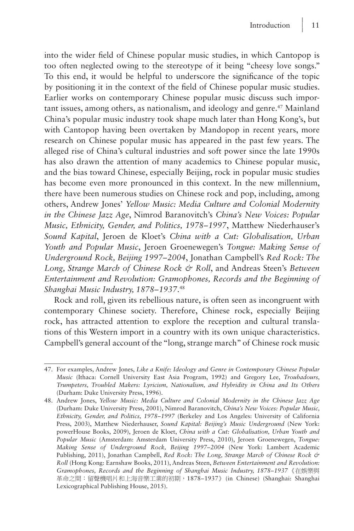into the wider field of Chinese popular music studies, in which Cantopop is too often neglected owing to the stereotype of it being "cheesy love songs." To this end, it would be helpful to underscore the significance of the topic by positioning it in the context of the field of Chinese popular music studies. Earlier works on contemporary Chinese popular music discuss such important issues, among others, as nationalism, and ideology and genre.<sup>47</sup> Mainland China's popular music industry took shape much later than Hong Kong's, but with Cantopop having been overtaken by Mandopop in recent years, more research on Chinese popular music has appeared in the past few years. The alleged rise of China's cultural industries and soft power since the late 1990s has also drawn the attention of many academics to Chinese popular music, and the bias toward Chinese, especially Beijing, rock in popular music studies has become even more pronounced in this context. In the new millennium, there have been numerous studies on Chinese rock and pop, including, among others, Andrew Jones' *Yellow Music: Media Culture and Colonial Modernity in the Chinese Jazz Age*, Nimrod Baranovitch's *China's New Voices: Popular Music, Ethnicity, Gender, and Politics, 1978–1997*, Matthew Niederhauser's *Sound Kapital*, Jeroen de Kloet's *China with a Cut: Globalisation, Urban Youth and Popular Music*, Jeroen Groenewegen's *Tongue: Making Sense of Underground Rock, Beijing 1997–2004*, Jonathan Campbell's *Red Rock: The Long, Strange March of Chinese Rock & Roll*, and Andreas Steen's *Between Entertainment and Revolution: Gramophones, Records and the Beginning of Shanghai Music Industry, 1878–1937*. 48

Rock and roll, given its rebellious nature, is often seen as incongruent with contemporary Chinese society. Therefore, Chinese rock, especially Beijing rock, has attracted attention to explore the reception and cultural translations of this Western import in a country with its own unique characteristics. Campbell's general account of the "long, strange march" of Chinese rock music

<sup>47.</sup> For examples, Andrew Jones, *Like a Knife: Ideology and Genre in Contemporary Chinese Popular Music* (Ithaca: Cornell University East Asia Program, 1992) and Gregory Lee, *Troubadours, Trumpeters, Troubled Makers: Lyricism, Nationalism, and Hybridity in China and Its Others* (Durham: Duke University Press, 1996).

<sup>48.</sup> Andrew Jones, *Yellow Music: Media Culture and Colonial Modernity in the Chinese Jazz Age* (Durham: Duke University Press, 2001), Nimrod Baranovitch, *China's New Voices: Popular Music, Ethnicity, Gender, and Politics, 1978–1997* (Berkeley and Los Angeles: University of California Press, 2003), Matthew Niederhauser, *Sound Kapital: Beijing's Music Underground* (New York: powerHouse Books, 2009), Jeroen de Kloet, *China with a Cut: Globalisation, Urban Youth and Popular Music* (Amsterdam: Amsterdam University Press, 2010), Jeroen Groenewegen, *Tongue: Making Sense of Underground Rock, Beijing 1997–2004* (New York: Lambert Academic Publishing, 2011), Jonathan Campbell, *Red Rock: The Long, Strange March of Chinese Rock & Roll* (Hong Kong: Earnshaw Books, 2011), Andreas Steen, *Between Entertainment and Revolution: Gramophones, Records and the Beginning of Shanghai Music Industry, 1878–1937*《在娛樂與 革命之間:留聲機唱片和上海音樂工業的初期,1878–1937》 (in Chinese) (Shanghai: Shanghai Lexicographical Publishing House, 2015).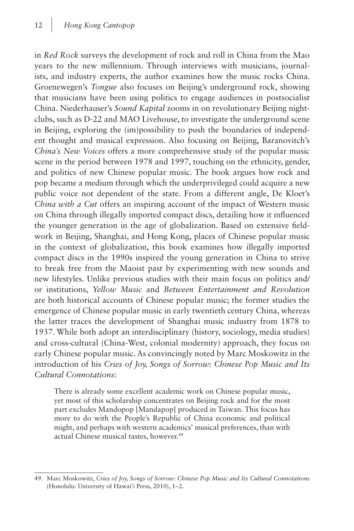in *Red Rock* surveys the development of rock and roll in China from the Mao years to the new millennium. Through interviews with musicians, journalists, and industry experts, the author examines how the music rocks China. Groenewegen's *Tongue* also focuses on Beijing's underground rock, showing that musicians have been using politics to engage audiences in postsocialist China. Niederhauser's *Sound Kapital* zooms in on revolutionary Beijing nightclubs, such as D-22 and MAO Livehouse, to investigate the underground scene in Beijing, exploring the (im)possibility to push the boundaries of independent thought and musical expression. Also focusing on Beijing, Baranovitch's *China's New Voices* offers a more comprehensive study of the popular music scene in the period between 1978 and 1997, touching on the ethnicity, gender, and politics of new Chinese popular music. The book argues how rock and pop became a medium through which the underprivileged could acquire a new public voice not dependent of the state. From a different angle, De Kloet's *China with a Cut* offers an inspiring account of the impact of Western music on China through illegally imported compact discs, detailing how it influenced the younger generation in the age of globalization. Based on extensive fieldwork in Beijing, Shanghai, and Hong Kong, places of Chinese popular music in the context of globalization, this book examines how illegally imported compact discs in the 1990s inspired the young generation in China to strive to break free from the Maoist past by experimenting with new sounds and new lifestyles. Unlike previous studies with their main focus on politics and/ or institutions, *Yellow Music* and *Between Entertainment and Revolution* are both historical accounts of Chinese popular music; the former studies the emergence of Chinese popular music in early twentieth century China, whereas the latter traces the development of Shanghai music industry from 1878 to 1937. While both adopt an interdisciplinary (history, sociology, media studies) and cross-cultural (China-West, colonial modernity) approach, they focus on early Chinese popular music. As convincingly noted by Marc Moskowitz in the introduction of his *Cries of Joy, Songs of Sorrow: Chinese Pop Music and Its Cultural Connotations*:

There is already some excellent academic work on Chinese popular music, yet most of this scholarship concentrates on Beijing rock and for the most part excludes Mandopop [Mandapop] produced in Taiwan. This focus has more to do with the People's Republic of China economic and political might, and perhaps with western academics' musical preferences, than with actual Chinese musical tastes, however.<sup>49</sup>

<sup>49.</sup> Marc Moskowitz, *Cries of Joy, Songs of Sorrow: Chinese Pop Music and Its Cultural Connotations* (Honolulu: University of Hawai'i Press, 2010), 1–2.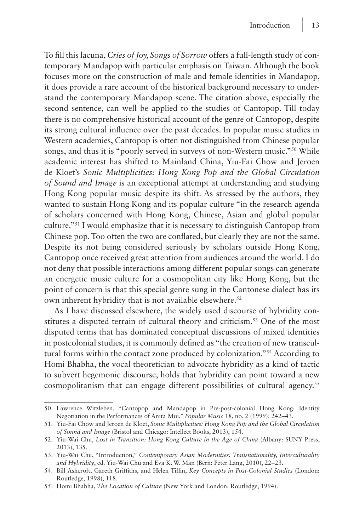To fill this lacuna, *Cries of Joy, Songs of Sorrow* offers a full-length study of contemporary Mandapop with particular emphasis on Taiwan. Although the book focuses more on the construction of male and female identities in Mandapop, it does provide a rare account of the historical background necessary to understand the contemporary Mandapop scene. The citation above, especially the second sentence, can well be applied to the studies of Cantopop. Till today there is no comprehensive historical account of the genre of Cantopop, despite its strong cultural influence over the past decades. In popular music studies in Western academies, Cantopop is often not distinguished from Chinese popular songs, and thus it is "poorly served in surveys of non-Western music."<sup>50</sup> While academic interest has shifted to Mainland China, Yiu-Fai Chow and Jeroen de Kloet's *Sonic Multiplicities: Hong Kong Pop and the Global Circulation of Sound and Image* is an exceptional attempt at understanding and studying Hong Kong popular music despite its shift. As stressed by the authors, they wanted to sustain Hong Kong and its popular culture "in the research agenda of scholars concerned with Hong Kong, Chinese, Asian and global popular culture."51 I would emphasize that it is necessary to distinguish Cantopop from Chinese pop. Too often the two are conflated, but clearly they are not the same. Despite its not being considered seriously by scholars outside Hong Kong, Cantopop once received great attention from audiences around the world. I do not deny that possible interactions among different popular songs can generate an energetic music culture for a cosmopolitan city like Hong Kong, but the point of concern is that this special genre sung in the Cantonese dialect has its own inherent hybridity that is not available elsewhere.<sup>52</sup>

As I have discussed elsewhere, the widely used discourse of hybridity constitutes a disputed terrain of cultural theory and criticism.<sup>53</sup> One of the most disputed terms that has dominated conceptual discussions of mixed identities in postcolonial studies, it is commonly defined as "the creation of new transcultural forms within the contact zone produced by colonization."54 According to Homi Bhabha, the vocal theoretician to advocate hybridity as a kind of tactic to subvert hegemonic discourse, holds that hybridity can point toward a new cosmopolitanism that can engage different possibilities of cultural agency.<sup>55</sup>

<sup>50.</sup> Lawrence Witzleben, "Cantopop and Mandapop in Pre-post-colonial Hong Kong: Identity Negotiation in the Performances of Anita Mui," *Popular Music* 18, no. 2 (1999): 242–43.

<sup>51.</sup> Yiu-Fai Chow and Jeroen de Kloet, *Sonic Multiplicities: Hong Kong Pop and the Global Circulation of Sound and Image* (Bristol and Chicago: Intellect Books, 2013), 154.

<sup>52.</sup> Yiu-Wai Chu, *Lost in Transition: Hong Kong Culture in the Age of China* (Albany: SUNY Press, 2013), 135.

<sup>53.</sup> Yiu-Wai Chu, "Introduction," *Contemporary Asian Modernities: Transnationality, Interculturality and Hybridity*, ed. Yiu-Wai Chu and Eva K. W. Man (Bern: Peter Lang, 2010), 22–23.

<sup>54.</sup> Bill Ashcroft, Gareth Griffiths, and Helen Tiffin, *Key Concepts in Post-Colonial Studies* (London: Routledge, 1998), 118.

<sup>55.</sup> Homi Bhabha, *The Location of Culture* (New York and London: Routledge, 1994).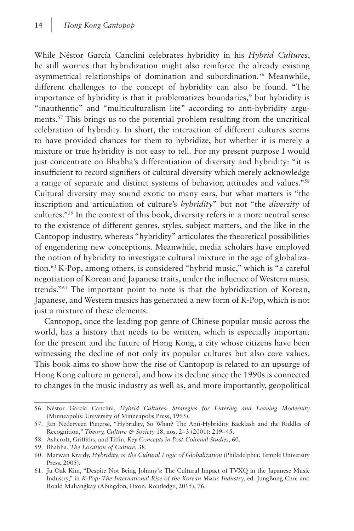While Néstor García Canclini celebrates hybridity in his *Hybrid Cultures*, he still worries that hybridization might also reinforce the already existing asymmetrical relationships of domination and subordination.<sup>56</sup> Meanwhile, different challenges to the concept of hybridity can also be found. "The importance of hybridity is that it problematizes boundaries," but hybridity is "inauthentic" and "multiculturalism lite" according to anti-hybridity arguments.<sup>57</sup> This brings us to the potential problem resulting from the uncritical celebration of hybridity. In short, the interaction of different cultures seems to have provided chances for them to hybridize, but whether it is merely a mixture or true hybridity is not easy to tell. For my present purpose I would just concentrate on Bhabha's differentiation of diversity and hybridity: "it is insufficient to record signifiers of cultural diversity which merely acknowledge a range of separate and distinct systems of behavior, attitudes and values."58 Cultural diversity may sound exotic to many ears, but what matters is "the inscription and articulation of culture's *hybridity*" but not "the *diversity* of cultures."59 In the context of this book, diversity refers in a more neutral sense to the existence of different genres, styles, subject matters, and the like in the Cantopop industry, whereas "hybridity" articulates the theoretical possibilities of engendering new conceptions. Meanwhile, media scholars have employed the notion of hybridity to investigate cultural mixture in the age of globalization.60 K-Pop, among others, is considered "hybrid music," which is "a careful negotiation of Korean and Japanese traits, under the influence of Western music trends."61 The important point to note is that the hybridization of Korean, Japanese, and Western musics has generated a new form of K-Pop, which is not just a mixture of these elements.

Cantopop, once the leading pop genre of Chinese popular music across the world, has a history that needs to be written, which is especially important for the present and the future of Hong Kong, a city whose citizens have been witnessing the decline of not only its popular cultures but also core values. This book aims to show how the rise of Cantopop is related to an upsurge of Hong Kong culture in general, and how its decline since the 1990s is connected to changes in the music industry as well as, and more importantly, geopolitical

<sup>56.</sup> Néstor García Canclini, *Hybrid Cultures: Strategies for Entering and Leaving Modernity* (Minneapolis: University of Minneapolis Press, 1995).

<sup>57.</sup> Jan Nederveen Pieterse, "Hybridity, So What? The Anti-Hybridity Backlash and the Riddles of Recognition," *Theory, Culture & Society* 18, nos. 2–3 (2001): 219–45.

<sup>58.</sup> Ashcroft, Griffiths, and Tiffin, *Key Concepts in Post-Colonial Studies*, 60.

<sup>59.</sup> Bhabha, *The Location of Culture*, 38.

<sup>60.</sup> Marwan Kraidy, *Hybridity, or the Cultural Logic of Globalization* (Philadelphia: Temple University Press, 2005).

<sup>61.</sup> Ju Oak Kim, "Despite Not Being Johnny's: The Cultural Impact of TVXQ in the Japanese Music Industry," in *K-Pop: The International Rise of the Korean Music Industry*, ed. JungBong Choi and Roald Maliangkay (Abingdon, Oxon: Routledge, 2015), 76.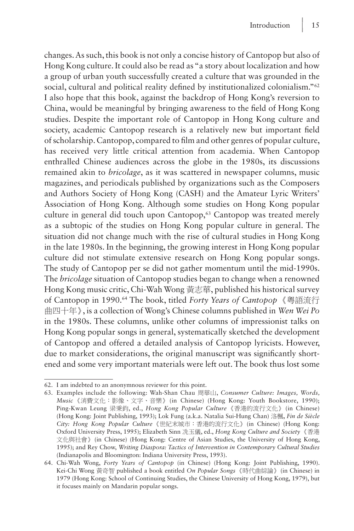changes. As such, this book is not only a concise history of Cantopop but also of Hong Kong culture. It could also be read as "a story about localization and how a group of urban youth successfully created a culture that was grounded in the social, cultural and political reality defined by institutionalized colonialism."<sup>62</sup> I also hope that this book, against the backdrop of Hong Kong's reversion to China, would be meaningful by bringing awareness to the field of Hong Kong studies. Despite the important role of Cantopop in Hong Kong culture and society, academic Cantopop research is a relatively new but important field of scholarship. Cantopop, compared to film and other genres of popular culture, has received very little critical attention from academia. When Cantopop enthralled Chinese audiences across the globe in the 1980s, its discussions remained akin to *bricolage*, as it was scattered in newspaper columns, music magazines, and periodicals published by organizations such as the Composers and Authors Society of Hong Kong (CASH) and the Amateur Lyric Writers' Association of Hong Kong. Although some studies on Hong Kong popular culture in general did touch upon Cantopop,<sup>63</sup> Cantopop was treated merely as a subtopic of the studies on Hong Kong popular culture in general. The situation did not change much with the rise of cultural studies in Hong Kong in the late 1980s. In the beginning, the growing interest in Hong Kong popular culture did not stimulate extensive research on Hong Kong popular songs. The study of Cantopop per se did not gather momentum until the mid-1990s. The *bricolage* situation of Cantopop studies began to change when a renowned Hong Kong music critic, Chi-Wah Wong 黃志華, published his historical survey of Cantopop in 1990.64 The book, titled *Forty Years of Cantopop* 《粵語流行 曲四十年》, is a collection of Wong's Chinese columns published in *Wen Wei Po* in the 1980s. These columns, unlike other columns of impressionist talks on Hong Kong popular songs in general, systematically sketched the development of Cantopop and offered a detailed analysis of Cantopop lyricists. However, due to market considerations, the original manuscript was significantly shortened and some very important materials were left out. The book thus lost some

<sup>62.</sup> I am indebted to an anonymnous reviewer for this point.

<sup>63.</sup> Examples include the following: Wah-Shan Chau 周華山, *Consumer Culture: Images, Words, Music* 《消費文化:影像、文字、音樂》 (in Chinese) (Hong Kong: Youth Bookstore, 1990); Ping-Kwan Leung 梁秉鈞, ed., *Hong Kong Popular Culture* 《香港的流行文化》 (in Chinese) (Hong Kong: Joint Publishing, 1993); Lok Fung (a.k.a. Natalia Sui-Hung Chan) 洛楓, *Fin de Siècle City: Hong Kong Popular Culture* 《世紀末城市:香港的流行文化》 (in Chinese) (Hong Kong: Oxford University Press, 1995); Elizabeth Sinn 冼玉儀, ed., *Hong Kong Culture and Society*《香港 文化與社會》 (in Chinese) (Hong Kong: Centre of Asian Studies, the University of Hong Kong, 1995); and Rey Chow, *Writing Diaspora: Tactics of Intervention in Contemporary Cultural Studies* (Indianapolis and Bloomington: Indiana University Press, 1993).

<sup>64.</sup> Chi-Wah Wong, *Forty Years of Cantopop* (in Chinese) (Hong Kong: Joint Publishing, 1990). Kei-Chi Wong 黃奇智 published a book entitled *On Popular Songs*《時代曲綜論》 (in Chinese) in 1979 (Hong Kong: School of Continuing Studies, the Chinese University of Hong Kong, 1979), but it focuses mainly on Mandarin popular songs.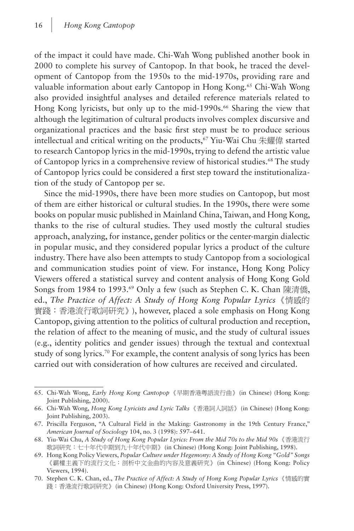of the impact it could have made. Chi-Wah Wong published another book in 2000 to complete his survey of Cantopop. In that book, he traced the development of Cantopop from the 1950s to the mid-1970s, providing rare and valuable information about early Cantopop in Hong Kong.<sup>65</sup> Chi-Wah Wong also provided insightful analyses and detailed reference materials related to Hong Kong lyricists, but only up to the mid-1990s.<sup>66</sup> Sharing the view that although the legitimation of cultural products involves complex discursive and organizational practices and the basic first step must be to produce serious intellectual and critical writing on the products,67 Yiu-Wai Chu 朱耀偉 started to research Cantopop lyrics in the mid-1990s, trying to defend the artistic value of Cantopop lyrics in a comprehensive review of historical studies.<sup>68</sup> The study of Cantopop lyrics could be considered a first step toward the institutionalization of the study of Cantopop per se.

Since the mid-1990s, there have been more studies on Cantopop, but most of them are either historical or cultural studies. In the 1990s, there were some books on popular music published in Mainland China, Taiwan, and Hong Kong, thanks to the rise of cultural studies. They used mostly the cultural studies approach, analyzing, for instance, gender politics or the center-margin dialectic in popular music, and they considered popular lyrics a product of the culture industry. There have also been attempts to study Cantopop from a sociological and communication studies point of view. For instance, Hong Kong Policy Viewers offered a statistical survey and content analysis of Hong Kong Gold Songs from 1984 to 1993.69 Only a few (such as Stephen C. K. Chan 陳清僑, ed., *The Practice of Affect: A Study of Hong Kong Popular Lyrics*《情感的 實踐:香港流行歌詞研究》), however, placed a sole emphasis on Hong Kong Cantopop, giving attention to the politics of cultural production and reception, the relation of affect to the meaning of music, and the study of cultural issues (e.g., identity politics and gender issues) through the textual and contextual study of song lyrics.<sup>70</sup> For example, the content analysis of song lyrics has been carried out with consideration of how cultures are received and circulated.

<sup>65.</sup> Chi-Wah Wong, *Early Hong Kong Cantopop*《早期香港粵語流行曲》 (in Chinese) (Hong Kong: Joint Publishing, 2000).

<sup>66.</sup> Chi-Wah Wong, *Hong Kong Lyricists and Lyric Talks*《香港詞人詞話》 (in Chinese) (Hong Kong: Joint Publishing, 2003).

<sup>67.</sup> Priscilla Ferguson, "A Cultural Field in the Making: Gastronomy in the 19th Century France," *American Journal of Sociology* 104, no. 3 (1998): 597–641.

<sup>68.</sup> Yiu-Wai Chu, *A Study of Hong Kong Popular Lyrics: From the Mid 70s to the Mid 90s* 《香港流行 歌詞研究:七十年代中期到九十年代中期》 (in Chinese) (Hong Kong: Joint Publishing, 1998).

<sup>69.</sup> Hong Kong Policy Viewers, *Popular Culture under Hegemony: A Study of Hong Kong "Gold" Songs* 《霸權主義下的流行文化:剖析中文金曲的內容及意義研究》 (in Chinese) (Hong Kong: Policy Viewers, 1994).

<sup>70.</sup> Stephen C. K. Chan, ed., *The Practice of Affect: A Study of Hong Kong Popular Lyrics*《情感的實 踐:香港流行歌詞研究》 (in Chinese) (Hong Kong: Oxford University Press, 1997).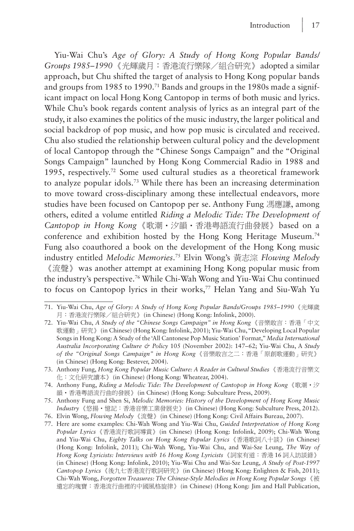Yiu-Wai Chu's *Age of Glory: A Study of Hong Kong Popular Bands/ Groups 1985–1990*《光輝歲月:香港流行樂隊/組合研究》 adopted a similar approach, but Chu shifted the target of analysis to Hong Kong popular bands and groups from 1985 to 1990.71 Bands and groups in the 1980s made a significant impact on local Hong Kong Cantopop in terms of both music and lyrics. While Chu's book regards content analysis of lyrics as an integral part of the study, it also examines the politics of the music industry, the larger political and social backdrop of pop music, and how pop music is circulated and received. Chu also studied the relationship between cultural policy and the development of local Cantopop through the "Chinese Songs Campaign" and the "Original Songs Campaign" launched by Hong Kong Commercial Radio in 1988 and 1995, respectively.72 Some used cultural studies as a theoretical framework to analyze popular idols.73 While there has been an increasing determination to move toward cross-disciplinary among these intellectual endeavors, more studies have been focused on Cantopop per se. Anthony Fung 馮應謙, among others, edited a volume entitled *Riding a Melodic Tide: The Development of Cantopop in Hong Kong*《歌潮・汐韻・香港粤語流行曲發展》 based on a conference and exhibition hosted by the Hong Kong Heritage Museum.<sup>74</sup> Fung also coauthored a book on the development of the Hong Kong music industry entitled *Melodic Memories*. 75 Elvin Wong's 黃志淙 *Flowing Melody* 《流聲》 was another attempt at examining Hong Kong popular music from the industry's perspective.76 While Chi-Wah Wong and Yiu-Wai Chu continued to focus on Cantopop lyrics in their works,<sup>77</sup> Helan Yang and Siu-Wah Yu

<sup>71.</sup> Yiu-Wai Chu, *Age of Glory: A Study of Hong Kong Popular Bands/Groups 1985–1990* 《光輝歲 月:香港流行樂隊/組合研究》 (in Chinese) (Hong Kong: Infolink, 2000).

<sup>72.</sup> Yiu-Wai Chu, *A Study of the "Chinese Songs Campaign" in Hong Kong* 《音樂敢言:香港「中文 歌運動」研究》 (in Chinese) (Hong Kong: Infolink, 2001); Yiu-Wai Chu, "Developing Local Popular Songs in Hong Kong: A Study of the 'All Cantonese Pop Music Station' Format," *Media International Australia Incorporating Culture & Policy* 105 (November 2002): 147–62; Yiu-Wai Chu, A *Study of the "Original Songs Campaign" in Hong Kong* 《音樂敢言之二:香港「原創歌運動」研究》 (in Chinese) (Hong Kong: Bestever, 2004).

<sup>73.</sup> Anthony Fung, *Hong Kong Popular Music Culture: A Reader in Cultural Studies*《香港流行音樂文 化:文化研究讀本》 (in Chinese) (Hong Kong: Wheatear, 2004).

<sup>74.</sup> Anthony Fung, *Riding a Melodic Tide: The Development of Cantopop in Hong Kong* 《歌潮‧汐 韻‧香港粵語流行曲的發展》 (in Chinese) (Hong Kong: Subculture Press, 2009).

<sup>75.</sup> Anthony Fung and Shen Si, *Melodic Memories: History of the Development of Hong Kong Music Industry*《悠揚‧憶記:香港音樂工業發展史》 (in Chinese) (Hong Kong: Subculture Press, 2012).

<sup>76.</sup> Elvin Wong, *Flowing Melody* 《流聲》 (in Chinese) (Hong Kong: Civil Affairs Bureau, 2007).

<sup>77.</sup> Here are some examples: Chi-Wah Wong and Yiu-Wai Chu, *Guided Interpretation of Hong Kong Popular Lyrics* 《香港流行歌詞導賞》 (in Chinese) (Hong Kong: Infolink, 2009); Chi-Wah Wong and Yiu-Wai Chu, *Eighty Talks on Hong Kong Popular Lyrics*《香港歌詞八十談》 (in Chinese) (Hong Kong: Infolink, 2011); Chi-Wah Wong, Yiu-Wai Chu, and Wai-Sze Leung, *The Way of Hong Kong Lyricists: Interviews with 16 Hong Kong Lyricists*《詞家有道:香港 16 詞人訪談錄》 (in Chinese) (Hong Kong: Infolink, 2010); Yiu-Wai Chu and Wai-Sze Leung, *A Study of Post-1997 Cantopop Lyrics*《後九七香港流行歌詞研究》 (in Chinese) (Hong Kong: Enlighten & Fish, 2011); Chi-Wah Wong, *Forgotten Treasures: The Chinese-Style Melodies in Hong Kong Popular Songs* 《被 遺忘的瑰寶:香港流行曲裡的中國風格旋律》 (in Chinese) (Hong Kong: Jim and Hall Publication,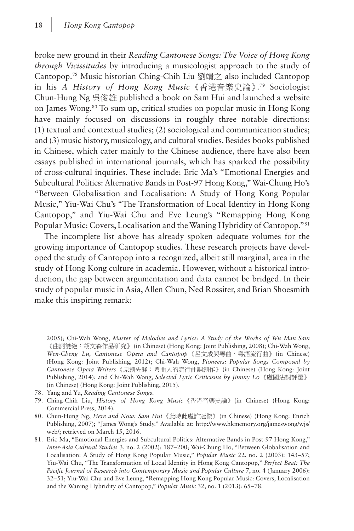broke new ground in their *Reading Cantonese Songs: The Voice of Hong Kong through Vicissitudes* by introducing a musicologist approach to the study of Cantopop.78 Music historian Ching-Chih Liu 劉靖之 also included Cantopop in his *A History of Hong Kong Music* 《香港音樂史論》. 79 Sociologist Chun-Hung Ng 吳俊雄 published a book on Sam Hui and launched a website on James Wong.80 To sum up, critical studies on popular music in Hong Kong have mainly focused on discussions in roughly three notable directions: (1) textual and contextual studies; (2) sociological and communication studies; and (3) music history, musicology, and cultural studies. Besides books published in Chinese, which cater mainly to the Chinese audience, there have also been essays published in international journals, which has sparked the possibility of cross-cultural inquiries. These include: Eric Ma's "Emotional Energies and Subcultural Politics: Alternative Bands in Post-97 Hong Kong," Wai-Chung Ho's "Between Globalisation and Localisation: A Study of Hong Kong Popular Music," Yiu-Wai Chu's "The Transformation of Local Identity in Hong Kong Cantopop," and Yiu-Wai Chu and Eve Leung's "Remapping Hong Kong Popular Music: Covers, Localisation and the Waning Hybridity of Cantopop."81

The incomplete list above has already spoken adequate volumes for the growing importance of Cantopop studies. These research projects have developed the study of Cantopop into a recognized, albeit still marginal, area in the study of Hong Kong culture in academia. However, without a historical introduction, the gap between argumentation and data cannot be bridged. In their study of popular music in Asia, Allen Chun, Ned Rossiter, and Brian Shoesmith make this inspiring remark:

78. Yang and Yu, *Reading Cantonese Songs*.

80. Chun-Hung Ng, *Here and Now: Sam Hui* 《此時此處許冠傑》 (in Chinese) (Hong Kong: Enrich Publishing, 2007); "James Wong's Study." Available at: http://www.hkmemory.org/jameswong/wjs/ web/; retrieved on March 15, 2016.

<sup>2005);</sup> Chi-Wah Wong, *Master of Melodies and Lyrics: A Study of the Works of Wu Man Sam* 《曲詞雙絶:胡文森作品研究》 (in Chinese) (Hong Kong: Joint Publishing, 2008); Chi-Wah Wong, *Wen-Cheng Lu, Cantonese Opera and Cantopop*《呂文成與粤曲、粤語流行曲》 (in Chinese) (Hong Kong: Joint Publishing, 2012); Chi-Wah Wong, *Pioneers: Popular Songs Composed by Cantonese Opera Writers* 《原創先鋒:粵曲人的流行曲調創作》 (in Chinese) (Hong Kong: Joint Publishing, 2014); and Chi-Wah Wong, *Selected Lyric Criticisms by Jimmy Lo* 《盧國沾詞評選》 (in Chinese) (Hong Kong: Joint Publishing, 2015).

<sup>79.</sup> Ching-Chih Liu, *History of Hong Kong Music*《香港音樂史論》 (in Chinese) (Hong Kong: Commercial Press, 2014).

<sup>81.</sup> Eric Ma, "Emotional Energies and Subcultural Politics: Alternative Bands in Post-97 Hong Kong," *Inter-Asia Cultural Studies* 3, no. 2 (2002): 187–200; Wai-Chung Ho, "Between Globalisation and Localisation: A Study of Hong Kong Popular Music," *Popular Music* 22, no. 2 (2003): 143–57; Yiu-Wai Chu, "The Transformation of Local Identity in Hong Kong Cantopop," *Perfect Beat: The*  Pacific Journal of Research into Contemporary Music and Popular Culture 7, no. 4 (January 2006): 32–51; Yiu-Wai Chu and Eve Leung, "Remapping Hong Kong Popular Music: Covers, Localisation and the Waning Hybridity of Cantopop," *Popular Music* 32, no. 1 (2013): 65–78.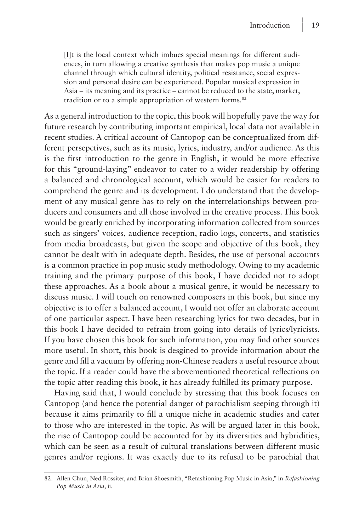[I]t is the local context which imbues special meanings for different audiences, in turn allowing a creative synthesis that makes pop music a unique channel through which cultural identity, political resistance, social expression and personal desire can be experienced. Popular musical expression in Asia – its meaning and its practice – cannot be reduced to the state, market, tradition or to a simple appropriation of western forms.<sup>82</sup>

As a general introduction to the topic, this book will hopefully pave the way for future research by contributing important empirical, local data not available in recent studies. A critical account of Cantopop can be conceptualized from different persepctives, such as its music, lyrics, industry, and/or audience. As this is the first introduction to the genre in English, it would be more effective for this "ground-laying" endeavor to cater to a wider readership by offering a balanced and chronological account, which would be easier for readers to comprehend the genre and its development. I do understand that the development of any musical genre has to rely on the interrelationships between producers and consumers and all those involved in the creative process. This book would be greatly enriched by incorporating information collected from sources such as singers' voices, audience reception, radio logs, concerts, and statistics from media broadcasts, but given the scope and objective of this book, they cannot be dealt with in adequate depth. Besides, the use of personal accounts is a common practice in pop music study methodology. Owing to my academic training and the primary purpose of this book, I have decided not to adopt these approaches. As a book about a musical genre, it would be necessary to discuss music. I will touch on renowned composers in this book, but since my objective is to offer a balanced account, I would not offer an elaborate account of one particular aspect. I have been researching lyrics for two decades, but in this book I have decided to refrain from going into details of lyrics/lyricists. If you have chosen this book for such information, you may find other sources more useful. In short, this book is desgined to provide information about the genre and fill a vacuum by offering non-Chinese readers a useful resource about the topic. If a reader could have the abovementioned theoretical reflections on the topic after reading this book, it has already fulfilled its primary purpose.

Having said that, I would conclude by stressing that this book focuses on Cantopop (and hence the potential danger of parochialism seeping through it) because it aims primarily to fill a unique niche in academic studies and cater to those who are interested in the topic. As will be argued later in this book, the rise of Cantopop could be accounted for by its diversities and hybridities, which can be seen as a result of cultural translations between different music genres and/or regions. It was exactly due to its refusal to be parochial that

<sup>82.</sup> Allen Chun, Ned Rossiter, and Brian Shoesmith, "Refashioning Pop Music in Asia," in *Refashioning Pop Music in Asia*, ii.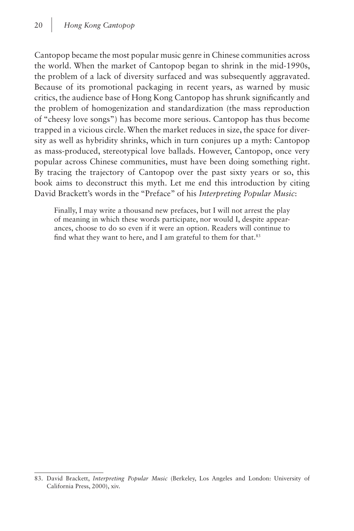Cantopop became the most popular music genre in Chinese communities across the world. When the market of Cantopop began to shrink in the mid-1990s, the problem of a lack of diversity surfaced and was subsequently aggravated. Because of its promotional packaging in recent years, as warned by music critics, the audience base of Hong Kong Cantopop has shrunk significantly and the problem of homogenization and standardization (the mass reproduction of "cheesy love songs") has become more serious. Cantopop has thus become trapped in a vicious circle. When the market reduces in size, the space for diversity as well as hybridity shrinks, which in turn conjures up a myth: Cantopop as mass-produced, stereotypical love ballads. However, Cantopop, once very popular across Chinese communities, must have been doing something right. By tracing the trajectory of Cantopop over the past sixty years or so, this book aims to deconstruct this myth. Let me end this introduction by citing David Brackett's words in the "Preface" of his *Interpreting Popular Music*:

Finally, I may write a thousand new prefaces, but I will not arrest the play of meaning in which these words participate, nor would I, despite appearances, choose to do so even if it were an option. Readers will continue to find what they want to here, and I am grateful to them for that. $83$ 

<sup>83.</sup> David Brackett, *Interpreting Popular Music* (Berkeley, Los Angeles and London: University of California Press, 2000), xiv.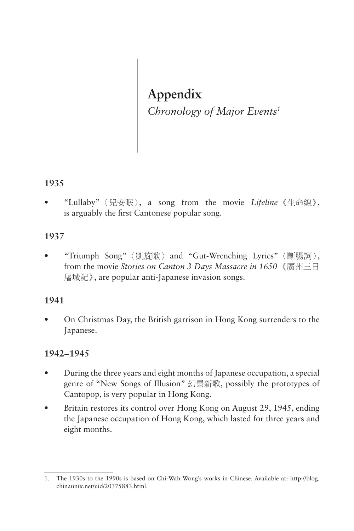# **Appendix** *Chronology of Major Events1*

### **1935**

• "Lullaby" 〈兒安眠〉, a song from the movie *Lifeline* 《生命線》, is arguably the first Cantonese popular song.

### **1937**

• "Triumph Song" 〈凱旋歌〉 and "Gut-Wrenching Lyrics" 〈斷腸詞〉, from the movie *Stories on Canton 3 Days Massacre in 1650*《廣州三日 屠城記》, are popular anti-Japanese invasion songs.

### **1941**

• On Christmas Day, the British garrison in Hong Kong surrenders to the Japanese.

### **1942–1945**

- During the three years and eight months of Japanese occupation, a special genre of "New Songs of Illusion" 幻景新歌, possibly the prototypes of Cantopop, is very popular in Hong Kong.
- Britain restores its control over Hong Kong on August 29, 1945, ending the Japanese occupation of Hong Kong, which lasted for three years and eight months.

<sup>1.</sup> The 1930s to the 1990s is based on Chi-Wah Wong's works in Chinese. Available at: http://blog. chinaunix.net/uid/20375883.html.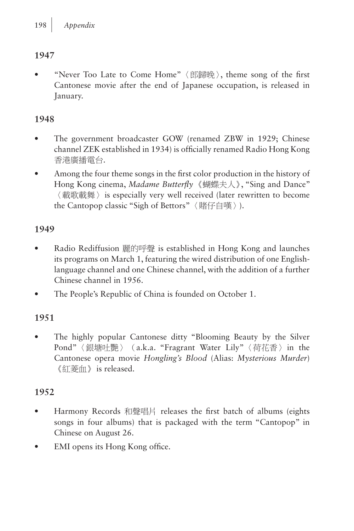"Never Too Late to Come Home"  $\langle \nexists \mathbb{R} \mathbb{R} \mathbb{R} \rangle$ , theme song of the first Cantonese movie after the end of Japanese occupation, is released in January.

### **1948**

- The government broadcaster GOW (renamed ZBW in 1929; Chinese channel ZEK established in 1934) is officially renamed Radio Hong Kong 香港廣播電台.
- Among the four theme songs in the first color production in the history of Hong Kong cinema, *Madame Butterfly* 《蝴蝶夫人》, "Sing and Dance" 〈載歌載舞〉 is especially very well received (later rewritten to become the Cantopop classic "Sigh of Bettors" 〈賭仔自嘆〉).

### **1949**

- Radio Rediffusion 麗的呼聲 is established in Hong Kong and launches its programs on March 1, featuring the wired distribution of one Englishlanguage channel and one Chinese channel, with the addition of a further Chinese channel in 1956.
- The People's Republic of China is founded on October 1.

### **1951**

• The highly popular Cantonese ditty "Blooming Beauty by the Silver Pond" 〈銀塘吐艷〉 (a.k.a. "Fragrant Water Lily" 〈荷花香〉 in the Cantonese opera movie *Hongling's Blood* (Alias: *Mysterious Murder*) 《紅菱血》 is released.

- Harmony Records 和聲唱片 releases the first batch of albums (eights songs in four albums) that is packaged with the term "Cantopop" in Chinese on August 26.
- EMI opens its Hong Kong office.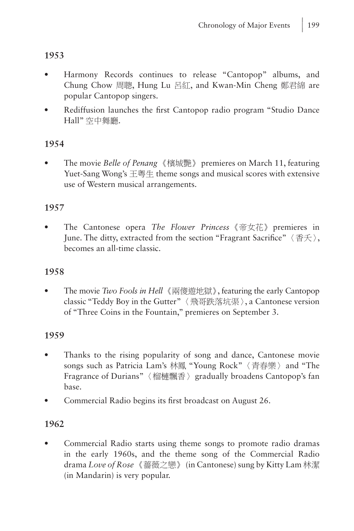- Harmony Records continues to release "Cantopop" albums, and Chung Chow 周聰, Hung Lu 呂紅, and Kwan-Min Cheng 鄭君綿 are popular Cantopop singers.
- Rediffusion launches the first Cantopop radio program "Studio Dance Hall" 空中舞廳.

### **1954**

• The movie *Belle of Penang* 《檳城艷》 premieres on March 11, featuring Yuet-Sang Wong's 王粵生 theme songs and musical scores with extensive use of Western musical arrangements.

### **1957**

• The Cantonese opera *The Flower Princess*《帝女花》 premieres in June. The ditty, extracted from the section "Fragrant Sacrifice"  $\langle \hat{\Phi} \hat{\times} \rangle$ , becomes an all-time classic.

### **1958**

• The movie *Two Fools in Hell*《兩傻遊地獄》, featuring the early Cantopop classic "Teddy Boy in the Gutter" 〈飛哥跌落坑渠〉, a Cantonese version of "Three Coins in the Fountain," premieres on September 3.

### **1959**

- Thanks to the rising popularity of song and dance, Cantonese movie songs such as Patricia Lam's 林鳳 "Young Rock" 〈青春樂〉 and "The Fragrance of Durians" 〈榴槤飄香〉 gradually broadens Cantopop's fan base.
- Commercial Radio begins its first broadcast on August 26.

### **1962**

• Commercial Radio starts using theme songs to promote radio dramas in the early 1960s, and the theme song of the Commercial Radio drama *Love of Rose* 《薔薇之戀》 (in Cantonese) sung by Kitty Lam 林潔 (in Mandarin) is very popular.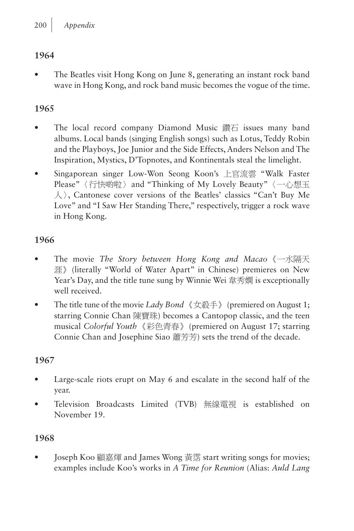• The Beatles visit Hong Kong on June 8, generating an instant rock band wave in Hong Kong, and rock band music becomes the vogue of the time.

### **1965**

- The local record company Diamond Music 鑽石 issues many band albums. Local bands (singing English songs) such as Lotus, Teddy Robin and the Playboys, Joe Junior and the Side Effects, Anders Nelson and The Inspiration, Mystics, D'Topnotes, and Kontinentals steal the limelight.
- Singaporean singer Low-Won Seong Koon's 上官流雲 "Walk Faster Please" 〈行快啲啦〉 and "Thinking of My Lovely Beauty" 〈一心想玉 人〉, Cantonese cover versions of the Beatles' classics "Can't Buy Me Love" and "I Saw Her Standing There," respectively, trigger a rock wave in Hong Kong.

### **1966**

- The movie *The Story between Hong Kong and Macao*《一水隔天 涯》 (literally "World of Water Apart" in Chinese) premieres on New Year's Day, and the title tune sung by Winnie Wei 韋秀嫻 is exceptionally well received.
- The title tune of the movie *Lady Bond*《女殺手》 (premiered on August 1; starring Connie Chan 陳寶珠) becomes a Cantopop classic, and the teen musical *Colorful Youth*《彩色青春》 (premiered on August 17; starring Connie Chan and Josephine Siao 蕭芳芳) sets the trend of the decade.

### **1967**

- Large-scale riots erupt on May 6 and escalate in the second half of the year.
- Television Broadcasts Limited (TVB) 無線電視 is established on November 19.

### **1968**

• **Joseph Koo 顧嘉煇 and James Wong 黃霑 start writing songs for movies;** examples include Koo's works in *A Time for Reunion* (Alias: *Auld Lang*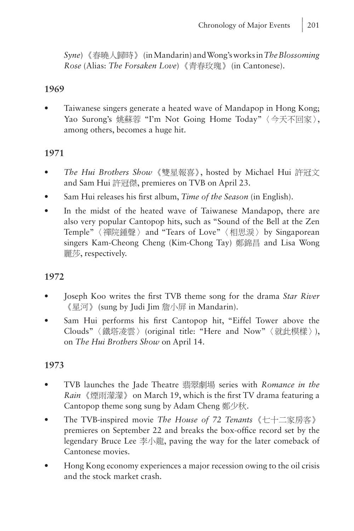*Syne*) 《春曉人歸時》 (in Mandarin) and Wong's works in *The Blossoming Rose* (Alias: *The Forsaken Love*) 《青春玫瑰》 (in Cantonese).

### **1969**

• Taiwanese singers generate a heated wave of Mandapop in Hong Kong; Yao Surong's 姚蘇蓉 "I'm Not Going Home Today" 〈今天不回家〉, among others, becomes a huge hit.

### **1971**

- *The Hui Brothers Show* 《雙星報喜》, hosted by Michael Hui 許冠文 and Sam Hui 許冠傑, premieres on TVB on April 23.
- Sam Hui releases his first album, *Time of the Season* (in English).
- In the midst of the heated wave of Taiwanese Mandapop, there are also very popular Cantopop hits, such as "Sound of the Bell at the Zen Temple" 〈禪院鍾聲〉 and "Tears of Love" 〈相思淚〉 by Singaporean singers Kam-Cheong Cheng (Kim-Chong Tay) 鄭錦昌 and Lisa Wong 麗莎, respectively.

### **1972**

- Joseph Koo writes the first TVB theme song for the drama *Star River* 《星河》 (sung by Judi Jim 詹小屏 in Mandarin).
- Sam Hui performs his first Cantopop hit, "Eiffel Tower above the Clouds" 〈鐵塔凌雲〉 (original title: "Here and Now" 〈就此模樣〉), on *The Hui Brothers Show* on April 14.

- TVB launches the Jade Theatre 翡翠劇場 series with *Romance in the Rain* 《煙雨濛濛》 on March 19, which is the first TV drama featuring a Cantopop theme song sung by Adam Cheng 鄭少秋.
- The TVB-inspired movie *The House of 72 Tenants* 《七十二家房客》 premieres on September 22 and breaks the box-office record set by the legendary Bruce Lee 李小龍, paving the way for the later comeback of Cantonese movies.
- Hong Kong economy experiences a major recession owing to the oil crisis and the stock market crash.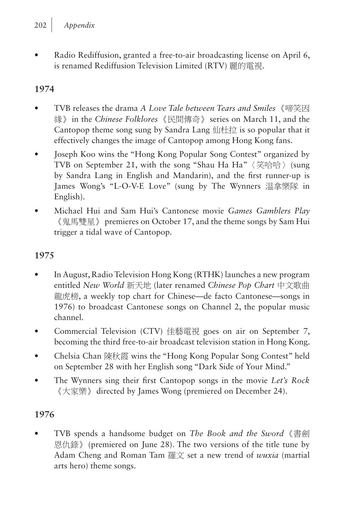• Radio Rediffusion, granted a free-to-air broadcasting license on April 6, is renamed Rediffusion Television Limited (RTV) 麗的電視.

### **1974**

- TVB releases the drama *A Love Tale between Tears and Smiles*《啼笑因 緣》 in the *Chinese Folklores*《民間傳奇》 series on March 11, and the Cantopop theme song sung by Sandra Lang 仙杜拉 is so popular that it effectively changes the image of Cantopop among Hong Kong fans.
- Joseph Koo wins the "Hong Kong Popular Song Contest" organized by TVB on September 21, with the song "Shau Ha Ha" 〈笑哈哈〉 (sung by Sandra Lang in English and Mandarin), and the first runner-up is James Wong's "L-O-V-E Love" (sung by The Wynners 温拿樂隊 in English).
- Michael Hui and Sam Hui's Cantonese movie *Games Gamblers Play* 《鬼馬雙星》 premieres on October 17, and the theme songs by Sam Hui trigger a tidal wave of Cantopop.

### **1975**

- In August, Radio Television Hong Kong (RTHK) launches a new program entitled *New World* 新天地 (later renamed *Chinese Pop Chart* 中文歌曲 龍虎榜, a weekly top chart for Chinese—de facto Cantonese—songs in 1976) to broadcast Cantonese songs on Channel 2, the popular music channel.
- Commercial Television (CTV) 佳藝電視 goes on air on September 7, becoming the third free-to-air broadcast television station in Hong Kong.
- Chelsia Chan 陳秋霞 wins the "Hong Kong Popular Song Contest" held on September 28 with her English song "Dark Side of Your Mind."
- The Wynners sing their first Cantopop songs in the movie *Let's Rock* 《大家樂》 directed by James Wong (premiered on December 24).

### **1976**

• TVB spends a handsome budget on *The Book and the Sword*《書劍 恩仇錄》 (premiered on June 28). The two versions of the title tune by Adam Cheng and Roman Tam 羅文 set a new trend of *wuxia* (martial arts hero) theme songs.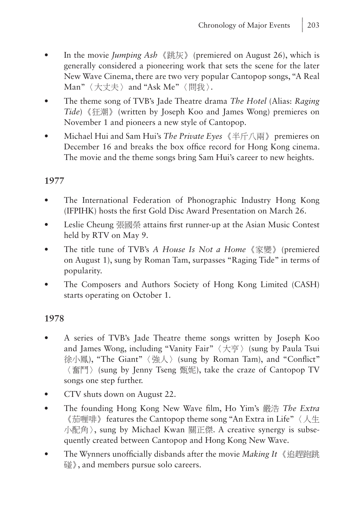- In the movie *Jumping Ash* 《跳灰》 (premiered on August 26), which is generally considered a pioneering work that sets the scene for the later New Wave Cinema, there are two very popular Cantopop songs, "A Real Man" 〈大丈夫〉 and "Ask Me" 〈問我〉.
- The theme song of TVB's Jade Theatre drama *The Hotel* (Alias: *Raging Tide*) 《狂潮》 (written by Joseph Koo and James Wong) premieres on November 1 and pioneers a new style of Cantopop.
- Michael Hui and Sam Hui's *The Private Eyes*《半斤八兩》 premieres on December 16 and breaks the box office record for Hong Kong cinema. The movie and the theme songs bring Sam Hui's career to new heights.

- The International Federation of Phonographic Industry Hong Kong (IFPIHK) hosts the first Gold Disc Award Presentation on March 26.
- Leslie Cheung 張國榮 attains first runner-up at the Asian Music Contest held by RTV on May 9.
- The title tune of TVB's *A House Is Not a Home*《家變》 (premiered on August 1), sung by Roman Tam, surpasses "Raging Tide" in terms of popularity.
- The Composers and Authors Society of Hong Kong Limited (CASH) starts operating on October 1.

- A series of TVB's Jade Theatre theme songs written by Joseph Koo and James Wong, including "Vanity Fair" 〈大亨〉 (sung by Paula Tsui 徐小鳳), "The Giant" 〈強人〉 (sung by Roman Tam), and "Conflict" 〈奮鬥〉 (sung by Jenny Tseng 甄妮), take the craze of Cantopop TV songs one step further.
- CTV shuts down on August 22.
- The founding Hong Kong New Wave film, Ho Yim's 嚴浩 *The Extra* 《茄喱啡》 features the Cantopop theme song "An Extra in Life" 〈人生 小配角〉, sung by Michael Kwan 關正傑. A creative synergy is subsequently created between Cantopop and Hong Kong New Wave.
- The Wynners unofficially disbands after the movie *Making It* 《追趕跑跳 碰》, and members pursue solo careers.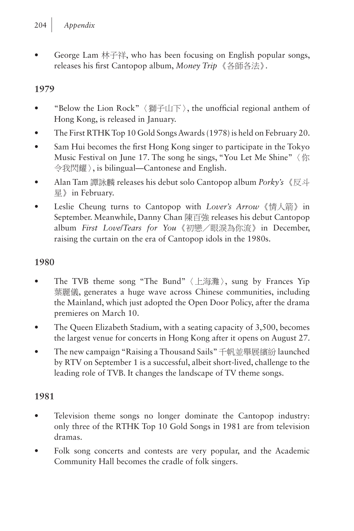• George Lam 林子祥, who has been focusing on English popular songs, releases his first Cantopop album, *Money Trip* 《各師各法》.

### **1979**

- "Below the Lion Rock"  $\langle \text{Im} \overline{\text{H}} \rangle$ , the unofficial regional anthem of Hong Kong, is released in January.
- The First RTHK Top 10 Gold Songs Awards (1978) is held on February 20.
- Sam Hui becomes the first Hong Kong singer to participate in the Tokyo Music Festival on June 17. The song he sings, "You Let Me Shine" 〈你 令我閃耀〉, is bilingual—Cantonese and English.
- Alan Tam 譚詠麟 releases his debut solo Cantopop album *Porky's* 《反斗 星》 in February.
- Leslie Cheung turns to Cantopop with *Lover's Arrow*《情人箭》 in September. Meanwhile, Danny Chan 陳百強 releases his debut Cantopop album *First Love*/*Tears for You*《初戀/眼淚為你流》 in December, raising the curtain on the era of Cantopop idols in the 1980s.

### **1980**

- The TVB theme song "The Bund"  $\langle \pm \frac{1}{2} \times \frac{1}{2} \times \frac{1}{2} \times \frac{1}{2} \times \frac{1}{2} \times \frac{1}{2} \times \frac{1}{2} \times \frac{1}{2} \times \frac{1}{2} \times \frac{1}{2} \times \frac{1}{2} \times \frac{1}{2} \times \frac{1}{2} \times \frac{1}{2} \times \frac{1}{2} \times \frac{1}{2} \times \frac{1}{2} \times \frac{1}{2} \times \frac{1}{2} \times \frac{1}{2} \times \frac{1}{$ 葉麗儀, generates a huge wave across Chinese communities, including the Mainland, which just adopted the Open Door Policy, after the drama premieres on March 10.
- The Queen Elizabeth Stadium, with a seating capacity of 3,500, becomes the largest venue for concerts in Hong Kong after it opens on August 27.
- The new campaign "Raising a Thousand Sails" 千帆並舉展繽紛 launched by RTV on September 1 is a successful, albeit short-lived, challenge to the leading role of TVB. It changes the landscape of TV theme songs.

- Television theme songs no longer dominate the Cantopop industry: only three of the RTHK Top 10 Gold Songs in 1981 are from television dramas.
- Folk song concerts and contests are very popular, and the Academic Community Hall becomes the cradle of folk singers.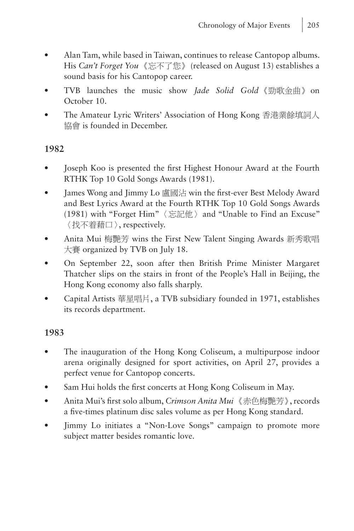- Alan Tam, while based in Taiwan, continues to release Cantopop albums. His *Can't Forget You*《忘不了您》 (released on August 13) establishes a sound basis for his Cantopop career.
- TVB launches the music show *Jade Solid Gold*《勁歌金曲》 on October 10.
- The Amateur Lyric Writers' Association of Hong Kong 香港業餘填詞人 協會 is founded in December.

- Joseph Koo is presented the first Highest Honour Award at the Fourth RTHK Top 10 Gold Songs Awards (1981).
- Iames Wong and Jimmy Lo 盧國沾 win the first-ever Best Melody Award and Best Lyrics Award at the Fourth RTHK Top 10 Gold Songs Awards (1981) with "Forget Him" 〈忘記他〉 and "Unable to Find an Excuse" 〈找不着藉口〉, respectively.
- Anita Mui 梅艷芳 wins the First New Talent Singing Awards 新秀歌唱 大賽 organized by TVB on July 18.
- On September 22, soon after then British Prime Minister Margaret Thatcher slips on the stairs in front of the People's Hall in Beijing, the Hong Kong economy also falls sharply.
- Capital Artists 華星唱片, a TVB subsidiary founded in 1971, establishes its records department.

- The inauguration of the Hong Kong Coliseum, a multipurpose indoor arena originally designed for sport activities, on April 27, provides a perfect venue for Cantopop concerts.
- Sam Hui holds the first concerts at Hong Kong Coliseum in May.
- Anita Mui's first solo album, *Crimson Anita Mui* 《赤色梅艷芳》, records a five-times platinum disc sales volume as per Hong Kong standard.
- Jimmy Lo initiates a "Non-Love Songs" campaign to promote more subject matter besides romantic love.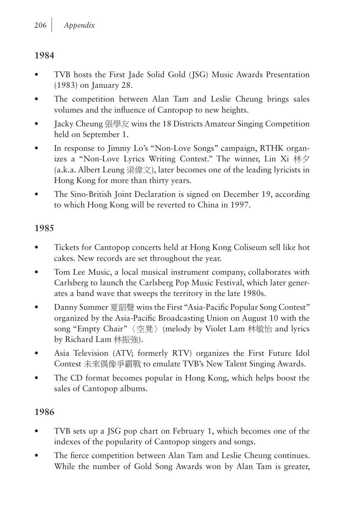- TVB hosts the First Jade Solid Gold (JSG) Music Awards Presentation (1983) on January 28.
- The competition between Alan Tam and Leslie Cheung brings sales volumes and the influence of Cantopop to new heights.
- Jacky Cheung 張學友 wins the 18 Districts Amateur Singing Competition held on September 1.
- In response to Jimmy Lo's "Non-Love Songs" campaign, RTHK organizes a "Non-Love Lyrics Writing Contest." The winner, Lin Xi 林夕 (a.k.a. Albert Leung 梁偉文), later becomes one of the leading lyricists in Hong Kong for more than thirty years.
- The Sino-British Joint Declaration is signed on December 19, according to which Hong Kong will be reverted to China in 1997.

### **1985**

- Tickets for Cantopop concerts held at Hong Kong Coliseum sell like hot cakes. New records are set throughout the year.
- Tom Lee Music, a local musical instrument company, collaborates with Carlsberg to launch the Carlsberg Pop Music Festival, which later generates a band wave that sweeps the territory in the late 1980s.
- Danny Summer 夏韶聲 wins the First "Asia-Pacific Popular Song Contest" organized by the Asia-Pacific Broadcasting Union on August 10 with the song "Empty Chair" 〈空凳〉 (melody by Violet Lam 林敏怡 and lyrics by Richard Lam 林振強).
- Asia Television (ATV; formerly RTV) organizes the First Future Idol Contest 未來偶像爭霸戰 to emulate TVB's New Talent Singing Awards.
- The CD format becomes popular in Hong Kong, which helps boost the sales of Cantopop albums.

- TVB sets up a JSG pop chart on February 1, which becomes one of the indexes of the popularity of Cantopop singers and songs.
- The fierce competition between Alan Tam and Leslie Cheung continues. While the number of Gold Song Awards won by Alan Tam is greater,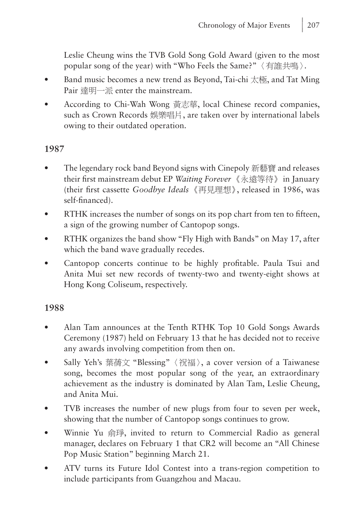Leslie Cheung wins the TVB Gold Song Gold Award (given to the most popular song of the year) with "Who Feels the Same?" 〈有誰共鳴〉.

- Band music becomes a new trend as Beyond, Tai-chi 太極, and Tat Ming Pair 達明一派 enter the mainstream.
- According to Chi-Wah Wong 黃志華, local Chinese record companies, such as Crown Records 娛樂唱片, are taken over by international labels owing to their outdated operation.

### **1987**

- The legendary rock band Beyond signs with Cinepoly 新藝寶 and releases their first mainstream debut EP *Waiting Forever* 《永遠等待》 in January (their first cassette *Goodbye Ideals* 《再見理想》, released in 1986, was self-financed).
- RTHK increases the number of songs on its pop chart from ten to fifteen, a sign of the growing number of Cantopop songs.
- RTHK organizes the band show "Fly High with Bands" on May 17, after which the band wave gradually recedes.
- Cantopop concerts continue to be highly profitable. Paula Tsui and Anita Mui set new records of twenty-two and twenty-eight shows at Hong Kong Coliseum, respectively.

- Alan Tam announces at the Tenth RTHK Top 10 Gold Songs Awards Ceremony (1987) held on February 13 that he has decided not to receive any awards involving competition from then on.
- Sally Yeh's 葉蒨文 "Blessing" 〈祝福〉, a cover version of a Taiwanese song, becomes the most popular song of the year, an extraordinary achievement as the industry is dominated by Alan Tam, Leslie Cheung, and Anita Mui.
- TVB increases the number of new plugs from four to seven per week, showing that the number of Cantopop songs continues to grow.
- Winnie Yu 俞琤, invited to return to Commercial Radio as general manager, declares on February 1 that CR2 will become an "All Chinese Pop Music Station" beginning March 21.
- ATV turns its Future Idol Contest into a trans-region competition to include participants from Guangzhou and Macau.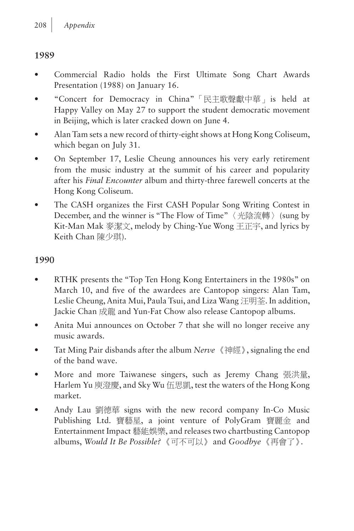- Commercial Radio holds the First Ultimate Song Chart Awards Presentation (1988) on January 16.
- "Concert for Democracy in China" 「民主歌聲獻中華」 is held at Happy Valley on May 27 to support the student democratic movement in Beijing, which is later cracked down on June 4.
- Alan Tam sets a new record of thirty-eight shows at Hong Kong Coliseum, which began on July 31.
- On September 17, Leslie Cheung announces his very early retirement from the music industry at the summit of his career and popularity after his *Final Encounter* album and thirty-three farewell concerts at the Hong Kong Coliseum.
- The CASH organizes the First CASH Popular Song Writing Contest in December, and the winner is "The Flow of Time" 〈光陰流轉〉 (sung by Kit-Man Mak 麥潔文, melody by Ching-Yue Wong 王正宇, and lyrics by Keith Chan 陳少琪).

- RTHK presents the "Top Ten Hong Kong Entertainers in the 1980s" on March 10, and five of the awardees are Cantopop singers: Alan Tam, Leslie Cheung, Anita Mui, Paula Tsui, and Liza Wang 汪明荃. In addition, Jackie Chan 成龍 and Yun-Fat Chow also release Cantopop albums.
- Anita Mui announces on October 7 that she will no longer receive any music awards.
- Tat Ming Pair disbands after the album *Nerve* 《神經》, signaling the end of the band wave.
- More and more Taiwanese singers, such as Jeremy Chang 張洪量, Harlem Yu 庾澄慶, and Sky Wu 伍思凱, test the waters of the Hong Kong market.
- Andy Lau 劉德華 signs with the new record company In-Co Music Publishing Ltd. 寶藝星, a joint venture of PolyGram 寶麗金 and Entertainment Impact 藝能娛樂, and releases two chartbusting Cantopop albums, *Would It Be Possible?*《可不可以》 and *Goodbye* 《再會了》.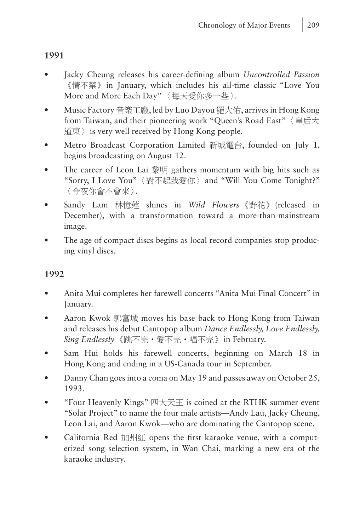- Jacky Cheung releases his career-defining album *Uncontrolled Passion* 《情不禁》 in January, which includes his all-time classic "Love You More and More Each Day" 〈每天愛你多一些〉.
- Music Factory 音樂工廠, led by Luo Dayou 羅大佑, arrives in Hong Kong from Taiwan, and their pioneering work "Queen's Road East" 〈皇后大 道東〉 is very well received by Hong Kong people.
- Metro Broadcast Corporation Limited 新城電台, founded on July 1, begins broadcasting on August 12.
- The career of Leon Lai 黎明 gathers momentum with big hits such as "Sorry, I Love You" 〈對不起我愛你〉 and "Will You Come Tonight?" 〈今夜你會不會來〉.
- Sandy Lam 林憶蓮 shines in *Wild Flowers* 《野花》 (released in December), with a transformation toward a more-than-mainstream image.
- The age of compact discs begins as local record companies stop producing vinyl discs.

- Anita Mui completes her farewell concerts "Anita Mui Final Concert" in January.
- Aaron Kwok 郭富城 moves his base back to Hong Kong from Taiwan and releases his debut Cantopop album *Dance Endlessly, Love Endlessly, Sing Endlessly*《跳不完‧愛不完‧唱不完》 in February.
- Sam Hui holds his farewell concerts, beginning on March 18 in Hong Kong and ending in a US-Canada tour in September.
- Danny Chan goes into a coma on May 19 and passes away on October 25, 1993.
- "Four Heavenly Kings" 四大天王 is coined at the RTHK summer event "Solar Project" to name the four male artists—Andy Lau, Jacky Cheung, Leon Lai, and Aaron Kwok—who are dominating the Cantopop scene.
- California Red 加州紅 opens the first karaoke venue, with a computerized song selection system, in Wan Chai, marking a new era of the karaoke industry.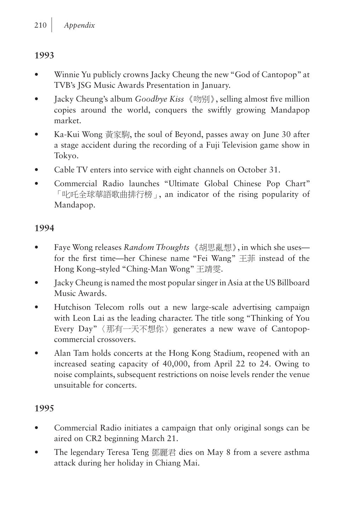- Winnie Yu publicly crowns Jacky Cheung the new "God of Cantopop" at TVB's JSG Music Awards Presentation in January.
- **Jacky Cheung's album** *Goodbye Kiss* 《吻别》, selling almost five million copies around the world, conquers the swiftly growing Mandapop market.
- Ka-Kui Wong 黃家駒, the soul of Beyond, passes away on June 30 after a stage accident during the recording of a Fuji Television game show in Tokyo.
- Cable TV enters into service with eight channels on October 31.
- Commercial Radio launches "Ultimate Global Chinese Pop Chart" 「叱吒全球華語歌曲排行榜」, an indicator of the rising popularity of Mandapop.

### **1994**

- Faye Wong releases *Random Thoughts* 《胡思亂想》, in which she uses for the first time—her Chinese name "Fei Wang" 王菲 instead of the Hong Kong–styled "Ching-Man Wong" 王靖雯.
- Jacky Cheung is named the most popular singer in Asia at the US Billboard Music Awards.
- Hutchison Telecom rolls out a new large-scale advertising campaign with Leon Lai as the leading character. The title song "Thinking of You Every Day" 〈那有一天不想你〉 generates a new wave of Cantopopcommercial crossovers.
- Alan Tam holds concerts at the Hong Kong Stadium, reopened with an increased seating capacity of 40,000, from April 22 to 24. Owing to noise complaints, subsequent restrictions on noise levels render the venue unsuitable for concerts.

- Commercial Radio initiates a campaign that only original songs can be aired on CR2 beginning March 21.
- The legendary Teresa Teng 鄧麗君 dies on May 8 from a severe asthma attack during her holiday in Chiang Mai.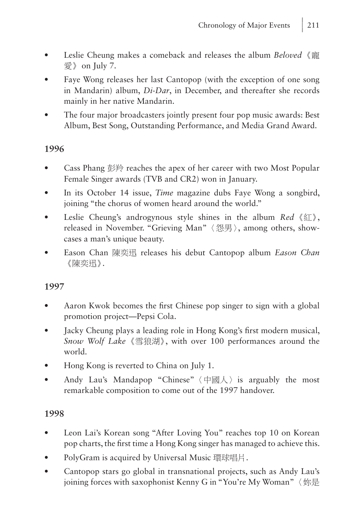- Leslie Cheung makes a comeback and releases the album *Beloved* 《寵 愛》 on July 7.
- Faye Wong releases her last Cantopop (with the exception of one song in Mandarin) album, *Di-Dar*, in December, and thereafter she records mainly in her native Mandarin.
- The four major broadcasters jointly present four pop music awards: Best Album, Best Song, Outstanding Performance, and Media Grand Award.

- Cass Phang 彭羚 reaches the apex of her career with two Most Popular Female Singer awards (TVB and CR2) won in January.
- In its October 14 issue, *Time* magazine dubs Faye Wong a songbird, joining "the chorus of women heard around the world."
- Leslie Cheung's androgynous style shines in the album *Red* 《紅》, released in November. "Grieving Man" 〈怨男〉, among others, showcases a man's unique beauty.
- Eason Chan 陳奕迅 releases his debut Cantopop album *Eason Chan* 《陳奕迅》.

### **1997**

- Aaron Kwok becomes the first Chinese pop singer to sign with a global promotion project—Pepsi Cola.
- Jacky Cheung plays a leading role in Hong Kong's first modern musical, *Snow Wolf Lake*《雪狼湖》, with over 100 performances around the world.
- Hong Kong is reverted to China on July 1.
- Andy Lau's Mandapop "Chinese" 〈中國人〉 is arguably the most remarkable composition to come out of the 1997 handover.

- Leon Lai's Korean song "After Loving You" reaches top 10 on Korean pop charts, the first time a Hong Kong singer has managed to achieve this.
- PolyGram is acquired by Universal Music 環球唱片.
- Cantopop stars go global in transnational projects, such as Andy Lau's joining forces with saxophonist Kenny G in "You're My Woman"  $\langle$  妳是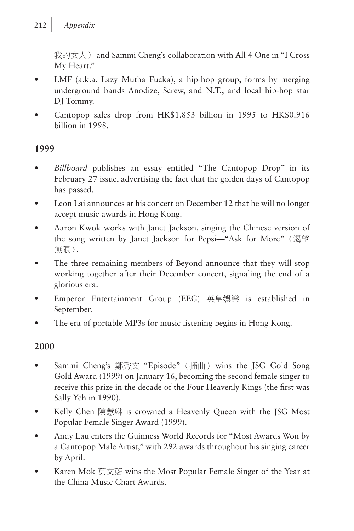我的女人〉 and Sammi Cheng's collaboration with All 4 One in "I Cross My Heart."

- LMF (a.k.a. Lazy Mutha Fucka), a hip-hop group, forms by merging underground bands Anodize, Screw, and N.T., and local hip-hop star DJ Tommy.
- Cantopop sales drop from HK\$1.853 billion in 1995 to HK\$0.916 billion in 1998.

### **1999**

- *Billboard* publishes an essay entitled "The Cantopop Drop" in its February 27 issue, advertising the fact that the golden days of Cantopop has passed.
- Leon Lai announces at his concert on December 12 that he will no longer accept music awards in Hong Kong.
- Aaron Kwok works with Janet Jackson, singing the Chinese version of the song written by Janet Jackson for Pepsi—"Ask for More" 〈渴望 無限〉.
- The three remaining members of Beyond announce that they will stop working together after their December concert, signaling the end of a glorious era.
- Emperor Entertainment Group (EEG) 英皇娛樂 is established in September.
- The era of portable MP3s for music listening begins in Hong Kong.

- Sammi Cheng's 鄭秀文 "Episode" 〈插曲〉 wins the JSG Gold Song Gold Award (1999) on January 16, becoming the second female singer to receive this prize in the decade of the Four Heavenly Kings (the first was Sally Yeh in 1990).
- Kelly Chen 陳慧琳 is crowned a Heavenly Queen with the JSG Most Popular Female Singer Award (1999).
- Andy Lau enters the Guinness World Records for "Most Awards Won by a Cantopop Male Artist," with 292 awards throughout his singing career by April.
- Karen Mok 莫文蔚 wins the Most Popular Female Singer of the Year at the China Music Chart Awards.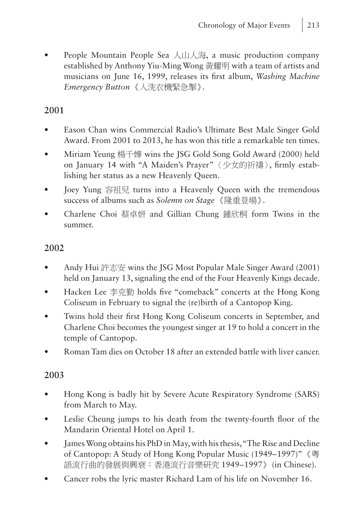• People Mountain People Sea 人山人海, a music production company established by Anthony Yiu-Ming Wong 黃耀明 with a team of artists and musicians on June 16, 1999, releases its first album, *Washing Machine Emergency Button*《入洗衣機緊急掣》.

### **2001**

- Eason Chan wins Commercial Radio's Ultimate Best Male Singer Gold Award. From 2001 to 2013, he has won this title a remarkable ten times.
- Miriam Yeung 楊千嬅 wins the JSG Gold Song Gold Award (2000) held on January 14 with "A Maiden's Prayer" 〈少女的祈禱〉, firmly establishing her status as a new Heavenly Queen.
- Joey Yung 容祖兒 turns into a Heavenly Queen with the tremendous success of albums such as *Solemn on Stage* 《隆重登場》.
- Charlene Choi 蔡卓妍 and Gillian Chung 鍾欣桐 form Twins in the summer.

### **2002**

- Andy Hui 許志安 wins the JSG Most Popular Male Singer Award (2001) held on January 13, signaling the end of the Four Heavenly Kings decade.
- Hacken Lee 李克勤 holds five "comeback" concerts at the Hong Kong Coliseum in February to signal the (re)birth of a Cantopop King.
- Twins hold their first Hong Kong Coliseum concerts in September, and Charlene Choi becomes the youngest singer at 19 to hold a concert in the temple of Cantopop.
- Roman Tam dies on October 18 after an extended battle with liver cancer.

- Hong Kong is badly hit by Severe Acute Respiratory Syndrome (SARS) from March to May.
- Leslie Cheung jumps to his death from the twenty-fourth floor of the Mandarin Oriental Hotel on April 1.
- James Wong obtains his PhD in May, with his thesis, "The Rise and Decline of Cantopop: A Study of Hong Kong Popular Music (1949–1997)" 《粵 語流行曲的發展與興衰:香港流行音樂研究 1949–1997》 (in Chinese).
- Cancer robs the lyric master Richard Lam of his life on November 16.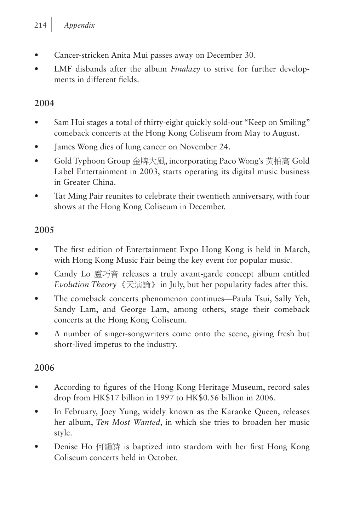### 214 *Appendix*

- Cancer-stricken Anita Mui passes away on December 30.
- LMF disbands after the album *Finalazy* to strive for further developments in different fields.

### **2004**

- Sam Hui stages a total of thirty-eight quickly sold-out "Keep on Smiling" comeback concerts at the Hong Kong Coliseum from May to August.
- James Wong dies of lung cancer on November 24.
- Gold Typhoon Group 金牌大風, incorporating Paco Wong's 黃柏高 Gold Label Entertainment in 2003, starts operating its digital music business in Greater China.
- Tat Ming Pair reunites to celebrate their twentieth anniversary, with four shows at the Hong Kong Coliseum in December.

### **2005**

- The first edition of Entertainment Expo Hong Kong is held in March, with Hong Kong Music Fair being the key event for popular music.
- Candy Lo 盧巧音 releases a truly avant-garde concept album entitled *Evolution Theory* 《天演論》 in July, but her popularity fades after this.
- The comeback concerts phenomenon continues—Paula Tsui, Sally Yeh, Sandy Lam, and George Lam, among others, stage their comeback concerts at the Hong Kong Coliseum.
- A number of singer-songwriters come onto the scene, giving fresh but short-lived impetus to the industry.

- According to figures of the Hong Kong Heritage Museum, record sales drop from HK\$17 billion in 1997 to HK\$0.56 billion in 2006.
- In February, Joey Yung, widely known as the Karaoke Queen, releases her album, *Ten Most Wanted*, in which she tries to broaden her music style.
- Denise Ho 何韻詩 is baptized into stardom with her first Hong Kong Coliseum concerts held in October.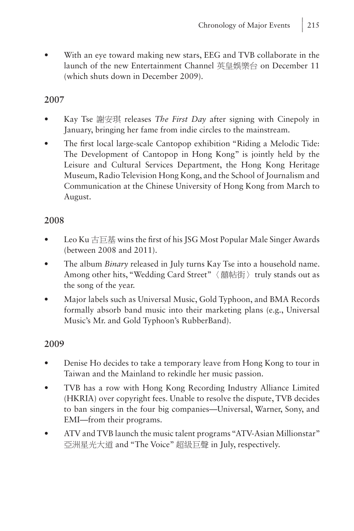With an eye toward making new stars, EEG and TVB collaborate in the launch of the new Entertainment Channel 英皇娛樂台 on December 11 (which shuts down in December 2009).

### **2007**

- Kay Tse 謝安琪 releases *The First Day* after signing with Cinepoly in January, bringing her fame from indie circles to the mainstream.
- The first local large-scale Cantopop exhibition "Riding a Melodic Tide: The Development of Cantopop in Hong Kong" is jointly held by the Leisure and Cultural Services Department, the Hong Kong Heritage Museum, Radio Television Hong Kong, and the School of Journalism and Communication at the Chinese University of Hong Kong from March to August.

### **2008**

- Leo Ku 古巨基 wins the first of his JSG Most Popular Male Singer Awards (between 2008 and 2011).
- The album *Binary* released in July turns Kay Tse into a household name. Among other hits, "Wedding Card Street" 〈囍帖街〉 truly stands out as the song of the year.
- Major labels such as Universal Music, Gold Typhoon, and BMA Records formally absorb band music into their marketing plans (e.g., Universal Music's Mr. and Gold Typhoon's RubberBand).

- Denise Ho decides to take a temporary leave from Hong Kong to tour in Taiwan and the Mainland to rekindle her music passion.
- TVB has a row with Hong Kong Recording Industry Alliance Limited (HKRIA) over copyright fees. Unable to resolve the dispute, TVB decides to ban singers in the four big companies—Universal, Warner, Sony, and EMI—from their programs.
- ATV and TVB launch the music talent programs "ATV-Asian Millionstar" 亞洲星光大道 and "The Voice" 超級巨聲 in July, respectively.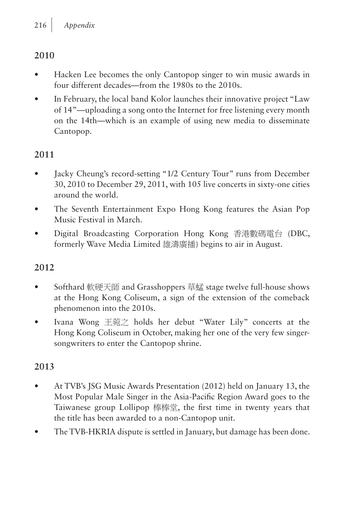- Hacken Lee becomes the only Cantopop singer to win music awards in four different decades—from the 1980s to the 2010s.
- In February, the local band Kolor launches their innovative project "Law" of 14"—uploading a song onto the Internet for free listening every month on the 14th—which is an example of using new media to disseminate Cantopop.

### **2011**

- Jacky Cheung's record-setting "1/2 Century Tour" runs from December 30, 2010 to December 29, 2011, with 105 live concerts in sixty-one cities around the world.
- The Seventh Entertainment Expo Hong Kong features the Asian Pop Music Festival in March.
- Digital Broadcasting Corporation Hong Kong 香港數碼電台 (DBC, formerly Wave Media Limited 雄濤廣播) begins to air in August.

### **2012**

- Softhard 軟硬天師 and Grasshoppers 草蜢 stage twelve full-house shows at the Hong Kong Coliseum, a sign of the extension of the comeback phenomenon into the 2010s.
- Ivana Wong 王菀之 holds her debut "Water Lily" concerts at the Hong Kong Coliseum in October, making her one of the very few singersongwriters to enter the Cantopop shrine.

- At TVB's JSG Music Awards Presentation (2012) held on January 13, the Most Popular Male Singer in the Asia-Pacific Region Award goes to the Taiwanese group Lollipop 棒棒堂, the first time in twenty years that the title has been awarded to a non-Cantopop unit.
- The TVB-HKRIA dispute is settled in January, but damage has been done.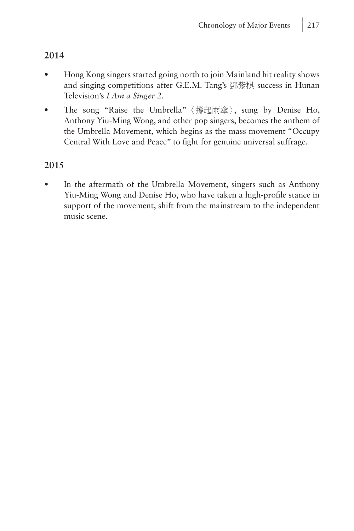- Hong Kong singers started going north to join Mainland hit reality shows and singing competitions after G.E.M. Tang's 鄧紫棋 success in Hunan Television's *I Am a Singer 2*.
- The song "Raise the Umbrella" 〈撐起雨傘〉, sung by Denise Ho, Anthony Yiu-Ming Wong, and other pop singers, becomes the anthem of the Umbrella Movement, which begins as the mass movement "Occupy Central With Love and Peace" to fight for genuine universal suffrage.

### **2015**

• In the aftermath of the Umbrella Movement, singers such as Anthony Yiu-Ming Wong and Denise Ho, who have taken a high-profile stance in support of the movement, shift from the mainstream to the independent music scene.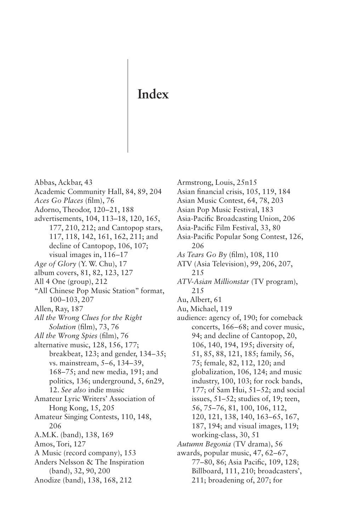## **Index**

Abbas, Ackbar, 43 Academic Community Hall, 84, 89, 204 Aces Go Places (film), 76 Adorno, Theodor, 120–21, 188 advertisements, 104, 113–18, 120, 165, 177, 210, 212; and Cantopop stars, 117, 118, 142, 161, 162, 211; and decline of Cantopop, 106, 107; visual images in, 116–17 *Age of Glory* (Y. W. Chu), 17 album covers, 81, 82, 123, 127 All 4 One (group), 212 "All Chinese Pop Music Station" format, 100–103, 207 Allen, Ray, 187 *All the Wrong Clues for the Right Solution* (film), 73, 76 All the Wrong Spies (film), 76 alternative music, 128, 156, 177; breakbeat, 123; and gender, 134–35; vs. mainstream, 5–6, 134–39, 168–75; and new media, 191; and politics, 136; underground, 5, 6n29, 12. *See also* indie music Amateur Lyric Writers' Association of Hong Kong, 15, 205 Amateur Singing Contests, 110, 148, 206 A.M.K. (band), 138, 169 Amos, Tori, 127 A Music (record company), 153 Anders Nelsson & The Inspiration (band), 32, 90, 200 Anodize (band), 138, 168, 212

- Armstrong, Louis, 25n15
- Asian financial crisis, 105, 119, 184
- Asian Music Contest, 64, 78, 203
- Asian Pop Music Festival, 183
- Asia-Pacific Broadcasting Union, 206
- Asia-Pacific Film Festival, 33, 80
- Asia-Pacific Popular Song Contest, 126, 206
- *As Tears Go Bγ* (film), 108, 110
- ATV (Asia Television), 99, 206, 207, 215
- *ATV-Asian Millionstar* (TV program), 215
- Au, Albert, 61
- Au, Michael, 119
- audience: agency of, 190; for comeback concerts, 166–68; and cover music, 94; and decline of Cantopop, 20, 106, 140, 194, 195; diversity of, 51, 85, 88, 121, 185; family, 56, 75; female, 82, 112, 120; and globalization, 106, 124; and music industry, 100, 103; for rock bands, 177; of Sam Hui, 51–52; and social issues, 51–52; studies of, 19; teen, 56, 75–76, 81, 100, 106, 112, 120, 121, 138, 140, 163–65, 167, 187, 194; and visual images, 119; working-class, 30, 51 *Autumn Begonia* (TV drama), 56 awards, popular music, 47, 62–67, 77-80, 86; Asia Pacific, 109, 128; Billboard, 111, 210; broadcasters', 211; broadening of, 207; for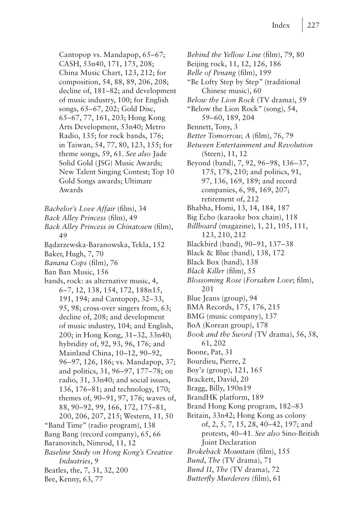Cantopop vs. Mandapop, 65–67; CASH, 53n40, 171, 175, 208; China Music Chart, 123, 212; for composition, 54, 88, 89, 206, 208; decline of, 181–82; and development of music industry, 100; for English songs, 65–67, 202; Gold Disc, 65–67, 77, 161, 203; Hong Kong Arts Development, 53n40; Metro Radio, 135; for rock bands, 176; in Taiwan, 54, 77, 80, 123, 155; for theme songs, 59, 61. *See also* Jade Solid Gold (JSG) Music Awards; New Talent Singing Contest; Top 10 Gold Songs awards; Ultimate Awards

- *Bachelor's Love Affair* (film), 34
- *Back Alley Princess* (film), 49
- *Back Alley Princess in Chinatown* (film), 49
- Ba˛darzewska-Baranowska, Tekla, 152
- Baker, Hugh, 7, 70
- Banana Cops (film), 76
- Ban Ban Music, 156
- bands, rock: as alternative music, 4, 6–7, 12, 138, 154, 172, 188n15, 191, 194; and Cantopop, 32–33, 95, 98; cross-over singers from, 63; decline of, 208; and development of music industry, 104; and English, 200; in Hong Kong, 31–32, 33n40; hybridity of, 92, 93, 96, 176; and Mainland China, 10–12, 90–92, 96–97, 126, 186; vs. Mandapop, 37; and politics, 31, 96–97, 177–78; on radio, 31, 33n40; and social issues, 136, 176–81; and technology, 170; themes of, 90–91, 97, 176; waves of, 88, 90–92, 99, 166, 172, 175–81, 200, 206, 207, 215; Western, 11, 50 "Band Time" (radio program), 138
- Bang Bang (record company), 65, 66
- Baranovitch, Nimrod, 11, 12
- *Baseline Study on Hong Kong's Creative Industries*, 9
- Beatles, the, 7, 31, 32, 200
- Bee, Kenny, 63, 77

*Behind the Yellow Line* (film), 79, 80 Beijing rock, 11, 12, 126, 186 *Belle of Penang* (film), 199 "Be Lofty Step by Step" (traditional Chinese music), 60 *Below the Lion Rock* (TV drama), 59 "Below the Lion Rock" (song), 54, 59–60, 189, 204 Bennett, Tony, 3 *Better Tomorrow, A (film), 76, 79* 

- *Between Entertainment and Revolution* (Steen), 11, 12
- Beyond (band), 7, 92, 96–98, 136–37, 175, 178, 210; and politics, 91, 97, 136, 169, 189; and record companies, 6, 98, 169, 207; retirement of, 212
- Bhabha, Homi, 13, 14, 184, 187
- Big Echo (karaoke box chain), 118
- *Billboard* (magazine), 1, 21, 105, 111, 123, 210, 212
- Blackbird (band), 90–91, 137–38
- Black & Blue (band), 138, 172
- Black Box (band), 138
- *Black Killer* (film), 55
- *Blossoming Rose* (*Forsaken Love*; film), 201
- Blue Jeans (group), 94
- BMA Records, 175, 176, 215
- BMG (music company), 137
- BoA (Korean group), 178
- *Book and the Sword* (TV drama), 56, 58, 61, 202
- Boone, Pat, 31
- Bourdieu, Pierre, 2
- Boy'z (group), 121, 165
- Brackett, David, 20
- Bragg, Billy, 190n19
- BrandHK platform, 189
- Brand Hong Kong program, 182–83
- Britain, 33n42; Hong Kong as colony of, 2, 5, 7, 15, 28, 40–42, 197; and protests, 40–41. *See also* Sino-British Joint Declaration
- *Brokeback Mountain* (film), 155
- *Bund*, *The* (TV drama), 71
- *Bund II*, *The* (TV drama), 72
- *Butterfly Murderers* (film), 61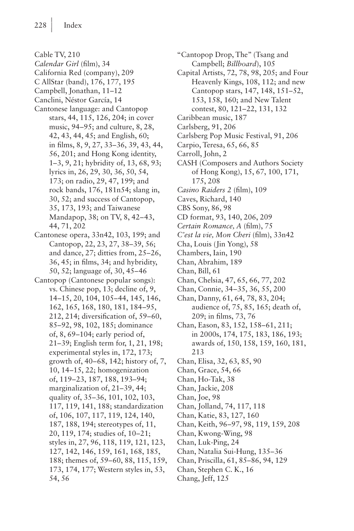Cable TV, 210

- *Calendar Girl* (film), 34
- California Red (company), 209
- C AllStar (band), 176, 177, 195
- Campbell, Jonathan, 11–12
- Canclini, Néstor García, 14
- Cantonese language: and Cantopop stars, 44, 115, 126, 204; in cover music, 94–95; and culture, 8, 28, 42, 43, 44, 45; and English, 60; in films, 8, 9, 27, 33-36, 39, 43, 44, 56, 201; and Hong Kong identity, 1–3, 9, 21; hybridity of, 13, 68, 93; lyrics in, 26, 29, 30, 36, 50, 54, 173; on radio, 29, 47, 199; and rock bands, 176, 181n54; slang in, 30, 52; and success of Cantopop, 35, 173, 193; and Taiwanese Mandapop, 38; on TV, 8, 42–43, 44, 71, 202
- Cantonese opera, 33n42, 103, 199; and Cantopop, 22, 23, 27, 38–39, 56; and dance, 27; ditties from, 25–26,  $36, 45$ ; in films,  $34$ ; and hybridity, 50, 52; language of, 30, 45–46
- Cantopop (Cantonese popular songs): vs. Chinese pop, 13; decline of, 9, 14–15, 20, 104, 105–44, 145, 146, 162, 165, 168, 180, 181, 184–95, 212, 214; diversification of, 59–60, 85–92, 98, 102, 185; dominance of, 8, 69–104; early period of, 21–39; English term for, 1, 21, 198; experimental styles in, 172, 173; growth of, 40–68, 142; history of, 7, 10, 14–15, 22; homogenization of, 119–23, 187, 188, 193–94; marginalization of, 21–39, 44; quality of, 35–36, 101, 102, 103, 117, 119, 141, 188; standardization of, 106, 107, 117, 119, 124, 140, 187, 188, 194; stereotypes of, 11, 20, 119, 174; studies of, 10–21; styles in, 27, 96, 118, 119, 121, 123, 127, 142, 146, 159, 161, 168, 185, 188; themes of, 59–60, 88, 115, 159, 173, 174, 177; Western styles in, 53, 54, 56
- "Cantopop Drop, The" (Tsang and Campbell; *Billboard*), 105
- Capital Artists, 72, 78, 98, 205; and Four Heavenly Kings, 108, 112; and new Cantopop stars, 147, 148, 151–52, 153, 158, 160; and New Talent contest, 80, 121–22, 131, 132
- Caribbean music, 187
- Carlsberg, 91, 206
- Carlsberg Pop Music Festival, 91, 206
- Carpio, Teresa, 65, 66, 85
- Carroll, John, 2
- CASH (Composers and Authors Society of Hong Kong), 15, 67, 100, 171, 175, 208
- *Casino Raiders 2 (film)*, 109
- Caves, Richard, 140
- CBS Sony, 86, 98
- CD format, 93, 140, 206, 209
- *Certain Romance, A (film), 75*
- *C'est la vie, Mon Cheri* (film), 33n42
- Cha, Louis (Jin Yong), 58
- Chambers, Iain, 190
- Chan, Abrahim, 189
- Chan, Bill, 61
- Chan, Chelsia, 47, 65, 66, 77, 202
- Chan, Connie, 34–35, 36, 55, 200
- Chan, Danny, 61, 64, 78, 83, 204; audience of, 75, 85, 165; death of, 209; in films, 73, 76
- Chan, Eason, 83, 152, 158–61, 211; in 2000s, 174, 175, 183, 186, 193; awards of, 150, 158, 159, 160, 181, 213
- Chan, Elisa, 32, 63, 85, 90
- Chan, Grace, 54, 66
- Chan, Ho-Tak, 38
- Chan, Jackie, 208
- Chan, Joe, 98
- Chan, Jolland, 74, 117, 118
- Chan, Katie, 83, 127, 160
- Chan, Keith, 96–97, 98, 119, 159, 208
- Chan, Kwong-Wing, 98
- Chan, Luk-Ping, 24
- Chan, Natalia Sui-Hung, 135–36
- Chan, Priscilla, 61, 85–86, 94, 129
- Chan, Stephen C. K., 16
- Chang, Jeff, 125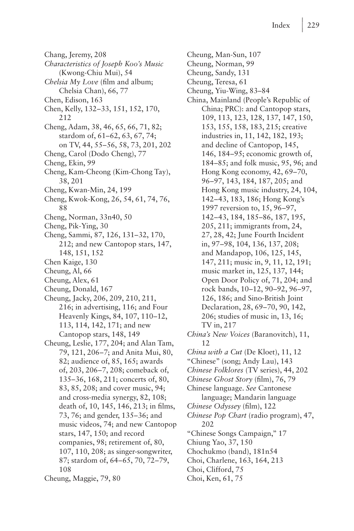*Characteristics of Joseph Koo's Music* (Kwong-Chiu Mui), 54 *Chelsia My Love* (film and album; Chelsia Chan), 66, 77 Chen, Edison, 163 Chen, Kelly, 132–33, 151, 152, 170, 212 Cheng, Adam, 38, 46, 65, 66, 71, 82; stardom of, 61–62, 63, 67, 74; on TV, 44, 55–56, 58, 73, 201, 202 Cheng, Carol (Dodo Cheng), 77 Cheng, Ekin, 99 Cheng, Kam-Cheong (Kim-Chong Tay), 38, 201 Cheng, Kwan-Min, 24, 199 Cheng, Kwok-Kong, 26, 54, 61, 74, 76, 88 Cheng, Norman, 33n40, 50 Cheng, Pik-Ying, 30 Cheng, Sammi, 87, 126, 131–32, 170, 212; and new Cantopop stars, 147, 148, 151, 152 Chen Kaige, 130 Cheung, Al, 66 Cheung, Alex, 61 Cheung, Donald, 167 Cheung, Jacky, 206, 209, 210, 211, 216; in advertising, 116; and Four Heavenly Kings, 84, 107, 110–12, 113, 114, 142, 171; and new Cantopop stars, 148, 149 Cheung, Leslie, 177, 204; and Alan Tam, 79, 121, 206–7; and Anita Mui, 80, 82; audience of, 85, 165; awards of, 203, 206–7, 208; comeback of, 135–36, 168, 211; concerts of, 80, 83, 85, 208; and cover music, 94; and cross-media synergy, 82, 108; death of, 10, 145, 146, 213; in films, 73, 76; and gender, 135–36; and music videos, 74; and new Cantopop stars, 147, 150; and record companies, 98; retirement of, 80, 107, 110, 208; as singer-songwriter, 87; stardom of, 64–65, 70, 72–79, 108 Cheung, Maggie, 79, 80

Chang, Jeremy, 208

- Cheung, Man-Sun, 107
- Cheung, Norman, 99
- Cheung, Sandy, 131
- Cheung, Teresa, 61
- Cheung, Yiu-Wing, 83–84
- China, Mainland (People's Republic of China; PRC): and Cantopop stars, 109, 113, 123, 128, 137, 147, 150, 153, 155, 158, 183, 215; creative industries in, 11, 142, 182, 193; and decline of Cantopop, 145, 146, 184–95; economic growth of, 184–85; and folk music, 95, 96; and Hong Kong economy, 42, 69–70, 96–97, 143, 184, 187, 205; and Hong Kong music industry, 24, 104, 142–43, 183, 186; Hong Kong's 1997 reversion to, 15, 96–97, 142–43, 184, 185–86, 187, 195, 205, 211; immigrants from, 24, 27, 28, 42; June Fourth Incident in, 97–98, 104, 136, 137, 208; and Mandapop, 106, 125, 145, 147, 211; music in, 9, 11, 12, 191; music market in, 125, 137, 144; Open Door Policy of, 71, 204; and rock bands, 10–12, 90–92, 96–97, 126, 186; and Sino-British Joint Declaration, 28, 69–70, 90, 142, 206; studies of music in, 13, 16; TV in, 217
- *China's New Voices* (Baranovitch), 11, 12
- *China with a Cut* (De Kloet), 11, 12
- "Chinese" (song; Andy Lau), 143
- *Chinese Folklores* (TV series), 44, 202
- *Chinese Ghost Story* (film), 76, 79

Chinese language. *See* Cantonese language; Mandarin language *Chinese Odyssey* (film), 122

*Chinese Pop Chart* (radio program), 47, 202

- "Chinese Songs Campaign," 17
- Chiung Yao, 37, 150
- Chochukmo (band), 181n54
- Choi, Charlene, 163, 164, 213
- Choi, Clifford, 75
- Choi, Ken, 61, 75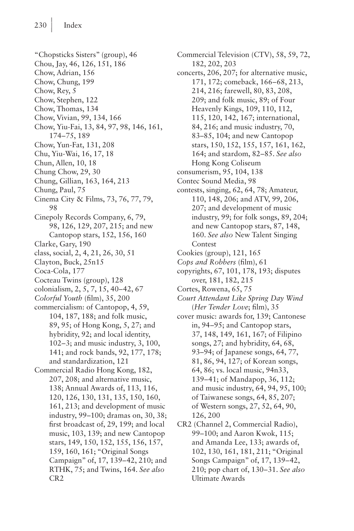"Chopsticks Sisters" (group), 46 Chou, Jay, 46, 126, 151, 186 Chow, Adrian, 156 Chow, Chung, 199 Chow, Rey, 5 Chow, Stephen, 122 Chow, Thomas, 134 Chow, Vivian, 99, 134, 166 Chow, Yiu-Fai, 13, 84, 97, 98, 146, 161, 174–75, 189 Chow, Yun-Fat, 131, 208 Chu, Yiu-Wai, 16, 17, 18 Chun, Allen, 10, 18 Chung Chow, 29, 30 Chung, Gillian, 163, 164, 213 Chung, Paul, 75 Cinema City & Films, 73, 76, 77, 79, 98 Cinepoly Records Company, 6, 79, 98, 126, 129, 207, 215; and new Cantopop stars, 152, 156, 160 Clarke, Gary, 190 class, social, 2, 4, 21, 26, 30, 51 Clayton, Buck, 25n15 Coca-Cola, 177 Cocteau Twins (group), 128 colonialism, 2, 5, 7, 15, 40–42, 67 *Colorful Youth* (film), 35, 200 commercialism: of Cantopop, 4, 59, 104, 187, 188; and folk music, 89, 95; of Hong Kong, 5, 27; and hybridity, 92; and local identity, 102–3; and music industry, 3, 100, 141; and rock bands, 92, 177, 178; and standardization, 121 Commercial Radio Hong Kong, 182, 207, 208; and alternative music, 138; Annual Awards of, 113, 116, 120, 126, 130, 131, 135, 150, 160, 161, 213; and development of music industry, 99–100; dramas on, 30, 38; first broadcast of, 29, 199; and local music, 103, 139; and new Cantopop stars, 149, 150, 152, 155, 156, 157, 159, 160, 161; "Original Songs Campaign" of, 17, 139–42, 210; and RTHK, 75; and Twins, 164. *See also* CR2

Commercial Television (CTV), 58, 59, 72, 182, 202, 203 concerts, 206, 207; for alternative music, 171, 172; comeback, 166–68, 213, 214, 216; farewell, 80, 83, 208, 209; and folk music, 89; of Four Heavenly Kings, 109, 110, 112, 115, 120, 142, 167; international, 84, 216; and music industry, 70, 83–85, 104; and new Cantopop stars, 150, 152, 155, 157, 161, 162, 164; and stardom, 82–85. *See also* Hong Kong Coliseum consumerism, 95, 104, 138 Contec Sound Media, 98 contests, singing, 62, 64, 78; Amateur, 110, 148, 206; and ATV, 99, 206, 207; and development of music industry, 99; for folk songs, 89, 204; and new Cantopop stars, 87, 148, 160. *See also* New Talent Singing Contest Cookies (group), 121, 165 *Cops and Robbers* (film), 61 copyrights, 67, 101, 178, 193; disputes over, 181, 182, 215 Cortes, Rowena, 65, 75 *Court Attendant Like Spring Day Wind* (*Her Tender Love*; film), 35 cover music: awards for, 139; Cantonese in, 94–95; and Cantopop stars, 37, 148, 149, 161, 167; of Filipino songs, 27; and hybridity, 64, 68, 93–94; of Japanese songs, 64, 77, 81, 86, 94, 127; of Korean songs, 64, 86; vs. local music, 94n33, 139–41; of Mandapop, 36, 112; and music industry, 64, 94, 95, 100; of Taiwanese songs, 64, 85, 207;

126, 200 CR2 (Channel 2, Commercial Radio), 99–100; and Aaron Kwok, 115; and Amanda Lee, 133; awards of, 102, 130, 161, 181, 211; "Original Songs Campaign" of, 17, 139–42, 210; pop chart of, 130–31. *See also* Ultimate Awards

of Western songs, 27, 52, 64, 90,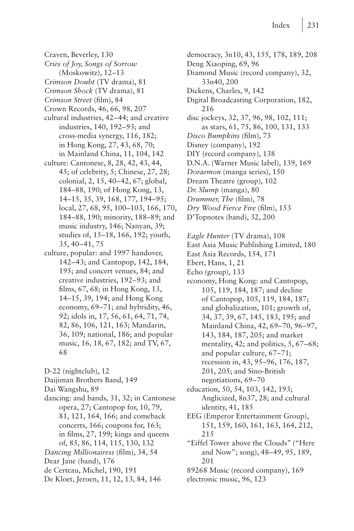- Craven, Beverley, 130
- *Cries of Joy, Songs of Sorrow*
- (Moskowitz), 12–13
- *Crimson Doubt* (TV drama), 81
- *Crimson Shock* (TV drama), 81
- *Crimson Street* (film), 84
- Crown Records, 46, 66, 98, 207
- cultural industries, 42–44; and creative industries, 140, 192–93; and cross-media synergy, 116, 182; in Hong Kong, 27, 43, 68, 70; in Mainland China, 11, 104, 142
- culture: Cantonese, 8, 28, 42, 43, 44, 45; of celebrity, 5; Chinese, 27, 28; colonial, 2, 15, 40–42, 67; global, 184–88, 190; of Hong Kong, 13, 14–15, 35, 39, 168, 177, 194–95; local, 27, 68, 95, 100–103, 166, 170, 184–88, 190; minority, 188–89; and music industry, 146; Nanyan, 39; studies of, 15–18, 166, 192; youth, 35, 40–41, 75
- culture, popular: and 1997 handover, 142–43; and Cantopop, 142, 184, 195; and concert venues, 84; and creative industries, 192–93; and films, 67, 68; in Hong Kong, 13, 14–15, 39, 194; and Hong Kong economy, 69–71; and hybridity, 46, 92; idols in, 17, 56, 61, 64, 71, 74, 82, 86, 106, 121, 163; Mandarin, 36, 109; national, 186; and popular music, 16, 18, 67, 182; and TV, 67, 68
- D-22 (nightclub), 12
- Daijiman Brothers Band, 149
- Dai Wangshu, 89
- dancing: and bands, 31, 32; in Cantonese opera, 27; Cantopop for, 10, 79, 81, 121, 164, 166; and comeback concerts, 166; coupons for, 163; in films,  $27$ ,  $199$ ; kings and queens of, 85, 86, 114, 115, 130, 132
- *Dancing Millionairess* (film), 34, 54
- Dear Jane (band), 176
- de Certeau, Michel, 190, 191
- De Kloet, Jeroen, 11, 12, 13, 84, 146

democracy, 3n10, 43, 155, 178, 189, 208 Deng Xiaoping, 69, 96

- 
- Diamond Music (record company), 32, 33n40, 200
- Dickens, Charles, 9, 142
- Digital Broadcasting Corporation, 182, 216
- disc jockeys, 32, 37, 96, 98, 102, 111;
	- as stars, 61, 75, 86, 100, 131, 133
- *Disco Bumpkins* (film), 73
- Disney (company), 192
- DIY (record company), 138
- D.N.A. (Warner Music label), 139, 169
- *Doraemon* (manga series), 150
- Dream Theatre (group), 102
- *Dr. Slump* (manga), 80
- *Drummer, The* (film), 78
- *Dry Wood Fierce Fire* (film), 153
- D'Topnotes (band), 32, 200
- *Eagle Hunter* (TV drama), 108
- East Asia Music Publishing Limited, 180
- East Asia Records, 154, 171
- Ebert, Hans, 1, 21
- Echo (group), 133
- economy, Hong Kong: and Cantopop, 105, 119, 184, 187; and decline of Cantopop, 105, 119, 184, 187; and globalization, 101; growth of, 34, 37, 39, 67, 145, 183, 195; and Mainland China, 42, 69–70, 96–97, 143, 184, 187, 205; and market mentality, 42; and politics, 5, 67–68; and popular culture, 67–71; recession in, 43, 95–96, 176, 187, 201, 205; and Sino-British negotiations, 69–70
- education, 50, 54, 103, 142, 193; Anglicized, 8n37, 28; and cultural identity, 41, 185
- EEG (Emperor Entertainment Group), 151, 159, 160, 161, 163, 164, 212, 215
- "Eiffel Tower above the Clouds" ("Here and Now"; song), 48–49, 95, 189, 201
- 89268 Music (record company), 169
- electronic music, 96, 123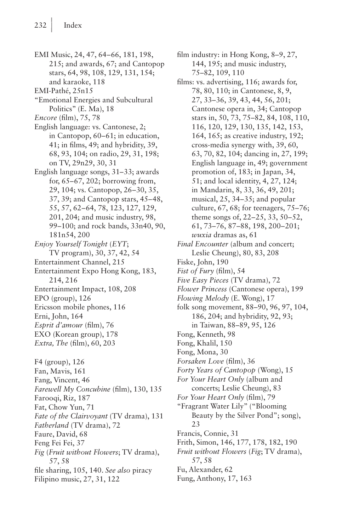- EMI Music, 24, 47, 64–66, 181, 198, 215; and awards, 67; and Cantopop stars, 64, 98, 108, 129, 131, 154; and karaoke, 118
- EMI-Pathé, 25n15
- "Emotional Energies and Subcultural Politics" (E. Ma), 18
- *Encore* (film), 75, 78
- English language: vs. Cantonese, 2; in Cantopop, 60–61; in education, 41; in films, 49; and hybridity, 39, 68, 93, 104; on radio, 29, 31, 198; on TV, 29n29, 30, 31
- English language songs, 31–33; awards for, 65–67, 202; borrowing from, 29, 104; vs. Cantopop, 26–30, 35, 37, 39; and Cantopop stars, 45–48, 55, 57, 62–64, 78, 123, 127, 129, 201, 204; and music industry, 98, 99–100; and rock bands, 33n40, 90, 181n54, 200 *Enjoy Yourself Tonight* (*EYT*;
- TV program), 30, 37, 42, 54 Entertainment Channel, 215 Entertainment Expo Hong Kong, 183,
- 214, 216 Entertainment Impact, 108, 208
- EPO (group), 126
- Ericsson mobile phones, 116
- Erni, John, 164
- *Esprit d'amour* (film), 76
- EXO (Korean group), 178 *Extra, The* (film), 60, 203
- F4 (group), 126 Fan, Mavis, 161 Fang, Vincent, 46 *Farewell My Concubine* (film), 130, 135 Farooqi, Riz, 187 Fat, Chow Yun, 71 *Fate of the Clairvoyant* (TV drama), 131 *Fatherland* (TV drama), 72 Faure, David, 68 Feng Fei Fei, 37 *Fig* (*Fruit without Flowers*; TV drama), 57, 58 file sharing, 105, 140. See also piracy
- Filipino music, 27, 31, 122
- film industry: in Hong Kong,  $8-9$ ,  $27$ , 144, 195; and music industry, 75–82, 109, 110
- films: vs. advertising, 116; awards for, 78, 80, 110; in Cantonese, 8, 9, 27, 33–36, 39, 43, 44, 56, 201; Cantonese opera in, 34; Cantopop stars in, 50, 73, 75–82, 84, 108, 110, 116, 120, 129, 130, 135, 142, 153, 164, 165; as creative industry, 192; cross-media synergy with, 39, 60, 63, 70, 82, 104; dancing in, 27, 199; English language in, 49; government promotion of, 183; in Japan, 34, 51; and local identity, 4, 27, 124; in Mandarin, 8, 33, 36, 49, 201; musical, 25, 34–35; and popular culture, 67, 68; for teenagers, 75–76; theme songs of, 22–25, 33, 50–52, 61, 73–76, 87–88, 198, 200–201; *wuxia* dramas as, 61 *Final Encounter* (album and concert; Leslie Cheung), 80, 83, 208 Fiske, John, 190 *Fist of Fury* (film), 54 *Five Easy Pieces* (TV drama), 72 *Flower Princess* (Cantonese opera), 199 *Flowing Melody* (E. Wong), 17 folk song movement, 88–90, 96, 97, 104, 186, 204; and hybridity, 92, 93; in Taiwan, 88–89, 95, 126 Fong, Kenneth, 98 Fong, Khalil, 150 Fong, Mona, 30 *Forsaken Love* (film), 36 *Forty Years of Cantopop* (Wong), 15 *For Your Heart Only* (album and concerts; Leslie Cheung), 83 *For Your Heart Only* (film), 79 "Fragrant Water Lily" ("Blooming Beauty by the Silver Pond"; song), 23 Francis, Connie, 31 Frith, Simon, 146, 177, 178, 182, 190 *Fruit without Flowers* (*Fig*; TV drama), 57, 58 Fu, Alexander, 62 Fung, Anthony, 17, 163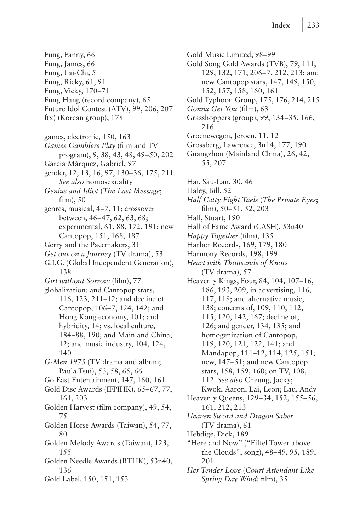- Fung, Fanny, 66
- Fung, James, 66
- Fung, Lai-Chi, 5
- Fung, Ricky, 61, 91
- Fung, Vicky, 170–71
- Fung Hang (record company), 65
- Future Idol Contest (ATV), 99, 206, 207
- f(x) (Korean group), 178
- games, electronic, 150, 163
- *Games Gamblers Play* (film and TV program), 9, 38, 43, 48, 49–50, 202
- García Márquez, Gabriel, 97
- gender, 12, 13, 16, 97, 130–36, 175, 211. *See also* homosexuality
- *Genius and Idiot* (*The Last Message*; film),  $50$
- genres, musical, 4–7, 11; crossover between, 46–47, 62, 63, 68; experimental, 61, 88, 172, 191; new Cantopop, 151, 168, 187
- Gerry and the Pacemakers, 31
- *Get out on a Journey* (TV drama), 53
- G.I.G. (Global Independent Generation), 138
- *Girl without Sorrow* (film), 77
- globalization: and Cantopop stars, 116, 123, 211–12; and decline of Cantopop, 106–7, 124, 142; and Hong Kong economy, 101; and hybridity, 14; vs. local culture, 184–88, 190; and Mainland China, 12; and music industry, 104, 124, 140
- *G-Men 1975* (TV drama and album; Paula Tsui), 53, 58, 65, 66
- Go East Entertainment, 147, 160, 161
- Gold Disc Awards (IFPIHK), 65–67, 77, 161, 203
- Golden Harvest (film company), 49, 54, 75
- Golden Horse Awards (Taiwan), 54, 77, 80
- Golden Melody Awards (Taiwan), 123, 155
- Golden Needle Awards (RTHK), 53n40, 136
- Gold Label, 150, 151, 153
- Gold Music Limited, 98–99
- Gold Song Gold Awards (TVB), 79, 111, 129, 132, 171, 206–7, 212, 213; and
	- new Cantopop stars, 147, 149, 150, 152, 157, 158, 160, 161
- Gold Typhoon Group, 175, 176, 214, 215
- *Gonna Get You* (film), 63
- Grasshoppers (group), 99, 134–35, 166, 216
- Groenewegen, Jeroen, 11, 12
- Grossberg, Lawrence, 3n14, 177, 190
- Guangzhou (Mainland China), 26, 42, 55, 207
- Hai, Sau-Lan, 30, 46
- Haley, Bill, 52
- *Half Catty Eight Taels* (*The Private Eyes*; film),  $50-51$ ,  $52$ ,  $203$
- Hall, Stuart, 190
- Hall of Fame Award (CASH), 53n40
- *Happy Together* (film), 135
- Harbor Records, 169, 179, 180
- Harmony Records, 198, 199
- *Heart with Thousands of Knots* (TV drama), 57
- Heavenly Kings, Four, 84, 104, 107–16, 186, 193, 209; in advertising, 116, 117, 118; and alternative music, 138; concerts of, 109, 110, 112, 115, 120, 142, 167; decline of, 126; and gender, 134, 135; and homogenization of Cantopop, 119, 120, 121, 122, 141; and Mandapop, 111–12, 114, 125, 151; new, 147–51; and new Cantopop stars, 158, 159, 160; on TV, 108, 112. *See also* Cheung, Jacky;
- Kwok, Aaron; Lai, Leon; Lau, Andy Heavenly Queens, 129–34, 152, 155–56,
- 161, 212, 213
- *Heaven Sword and Dragon Saber* (TV drama), 61
- Hebdige, Dick, 189
- "Here and Now" ("Eiffel Tower above the Clouds"; song), 48–49, 95, 189, 201
- *Her Tender Love* (*Court Attendant Like Spring Day Wind*; film), 35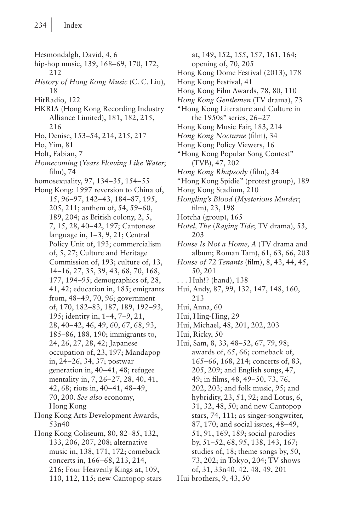- Hesmondalgh, David, 4, 6
- hip-hop music, 139, 168–69, 170, 172, 212
- *History of Hong Kong Music* (C. C. Liu), 18
- HitRadio, 122
- HKRIA (Hong Kong Recording Industry Alliance Limited), 181, 182, 215, 216
- Ho, Denise, 153–54, 214, 215, 217
- Ho, Yim, 81
- Holt, Fabian, 7
- *Homecoming* (*Years Flowing Like Water*; film),  $74$
- homosexuality, 97, 134–35, 154–55
- Hong Kong: 1997 reversion to China of, 15, 96–97, 142–43, 184–87, 195, 205, 211; anthem of, 54, 59–60, 189, 204; as British colony, 2, 5, 7, 15, 28, 40–42, 197; Cantonese language in, 1–3, 9, 21; Central Policy Unit of, 193; commercialism of, 5, 27; Culture and Heritage Commission of, 193; culture of, 13, 14–16, 27, 35, 39, 43, 68, 70, 168, 177, 194–95; demographics of, 28, 41, 42; education in, 185; emigrants from, 48–49, 70, 96; government of, 170, 182–83, 187, 189, 192–93, 195; identity in, 1–4, 7–9, 21, 28, 40–42, 46, 49, 60, 67, 68, 93, 185–86, 188, 190; immigrants to, 24, 26, 27, 28, 42; Japanese occupation of, 23, 197; Mandapop in, 24–26, 34, 37; postwar generation in, 40–41, 48; refugee mentality in, 7, 26–27, 28, 40, 41, 42, 68; riots in, 40–41, 48–49, 70, 200. *See also* economy, Hong Kong
- Hong Kong Arts Development Awards, 53n40
- Hong Kong Coliseum, 80, 82–85, 132, 133, 206, 207, 208; alternative music in, 138, 171, 172; comeback concerts in, 166–68, 213, 214, 216; Four Heavenly Kings at, 109, 110, 112, 115; new Cantopop stars
- at, 149, 152, 155, 157, 161, 164; opening of, 70, 205 Hong Kong Dome Festival (2013), 178 Hong Kong Festival, 41 Hong Kong Film Awards, 78, 80, 110 *Hong Kong Gentlemen* (TV drama), 73 "Hong Kong Literature and Culture in the 1950s" series, 26–27 Hong Kong Music Fair, 183, 214 *Hong Kong Nocturne* (film), 34 Hong Kong Policy Viewers, 16 "Hong Kong Popular Song Contest" (TVB), 47, 202 *Hong Kong Rhapsody* (film), 34 "Hong Kong Spidie" (protest group), 189 Hong Kong Stadium, 210 *Hongling's Blood* (*Mysterious Murder*; film), 23, 198 Hotcha (group), 165 *Hotel, The* (*Raging Tide*; TV drama), 53, 203 *House Is Not a Home, A* (TV drama and album; Roman Tam), 61, 63, 66, 203 *House of 72 Tenants* (film), 8, 43, 44, 45, 50, 201 . . . Huh!? (band), 138 Hui, Andy, 87, 99, 132, 147, 148, 160, 213 Hui, Anna, 60 Hui, Hing-Hing, 29 Hui, Michael, 48, 201, 202, 203 Hui, Ricky, 50 Hui, Sam, 8, 33, 48–52, 67, 79, 98; awards of, 65, 66; comeback of, 165–66, 168, 214; concerts of, 83, 205, 209; and English songs, 47, 49; in films, 48, 49-50, 73, 76, 202, 203; and folk music, 95; and hybridity, 23, 51, 92; and Lotus, 6, 31, 32, 48, 50; and new Cantopop stars, 74, 111; as singer-songwriter, 87, 170; and social issues, 48–49,
	- 51, 91, 169, 189; social parodies
	- by, 51–52, 68, 95, 138, 143, 167; studies of, 18; theme songs by, 50,
	- 73, 202; in Tokyo, 204; TV shows
	- of, 31, 33n40, 42, 48, 49, 201
	- Hui brothers, 9, 43, 50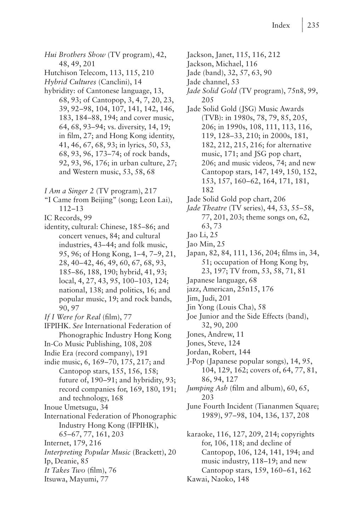*Hui Brothers Show* (TV program), 42, 48, 49, 201

Hutchison Telecom, 113, 115, 210

*Hybrid Cultures* (Canclini), 14

- hybridity: of Cantonese language, 13, 68, 93; of Cantopop, 3, 4, 7, 20, 23, 39, 92–98, 104, 107, 141, 142, 146, 183, 184–88, 194; and cover music, 64, 68, 93–94; vs. diversity, 14, 19; in film, 27; and Hong Kong identity, 41, 46, 67, 68, 93; in lyrics, 50, 53, 68, 93, 96, 173–74; of rock bands, 92, 93, 96, 176; in urban culture, 27; and Western music, 53, 58, 68
- *I Am a Singer 2* (TV program), 217
- "I Came from Beijing" (song; Leon Lai), 112–13
- IC Records, 99
- identity, cultural: Chinese, 185–86; and concert venues, 84; and cultural industries, 43–44; and folk music, 95, 96; of Hong Kong, 1–4, 7–9, 21, 28, 40–42, 46, 49, 60, 67, 68, 93, 185–86, 188, 190; hybrid, 41, 93; local, 4, 27, 43, 95, 100–103, 124; national, 138; and politics, 16; and popular music, 19; and rock bands, 90, 97
- *If I Were for Real* (film), 77
- IFPIHK. *See* International Federation of Phonographic Industry Hong Kong
- In-Co Music Publishing, 108, 208
- Indie Era (record company), 191
- indie music, 6, 169–70, 175, 217; and Cantopop stars, 155, 156, 158; future of, 190–91; and hybridity, 93; record companies for, 169, 180, 191; and technology, 168
- Inoue Umetsugu, 34
- International Federation of Phonographic Industry Hong Kong (IFPIHK), 65–67, 77, 161, 203
- Internet, 179, 216
- *Interpreting Popular Music* (Brackett), 20
- Ip, Deanie, 85
- $It$  Takes Two (film), 76
- Itsuwa, Mayumi, 77
- Jackson, Janet, 115, 116, 212
- Jackson, Michael, 116
- Jade (band), 32, 57, 63, 90
- Jade channel, 53
- *Jade Solid Gold* (TV program), 75n8, 99, 205
- Jade Solid Gold (JSG) Music Awards (TVB): in 1980s, 78, 79, 85, 205, 206; in 1990s, 108, 111, 113, 116, 119, 128–33, 210; in 2000s, 181, 182, 212, 215, 216; for alternative music, 171; and JSG pop chart, 206; and music videos, 74; and new Cantopop stars, 147, 149, 150, 152, 153, 157, 160–62, 164, 171, 181, 182
- Jade Solid Gold pop chart, 206
- *Jade Theatre* (TV series), 44, 53, 55–58, 77, 201, 203; theme songs on, 62, 63, 73
- Jao Li, 25
- Jao Min, 25
- Japan, 82, 84, 111, 136, 204; films in, 34, 51; occupation of Hong Kong by, 23, 197; TV from, 53, 58, 71, 81
- Japanese language, 68
- jazz, American, 25n15, 176
- Jim, Judi, 201
- Jin Yong (Louis Cha), 58
- Joe Junior and the Side Effects (band), 32, 90, 200
- Jones, Andrew, 11
- Jones, Steve, 124
- Jordan, Robert, 144
- J-Pop (Japanese popular songs), 14, 95, 104, 129, 162; covers of, 64, 77, 81, 86, 94, 127
- *Jumping Ash* (film and album), 60, 65, 203
- June Fourth Incident (Tiananmen Square; 1989), 97–98, 104, 136, 137, 208
- karaoke, 116, 127, 209, 214; copyrights for, 106, 118; and decline of Cantopop, 106, 124, 141, 194; and music industry, 118–19; and new Cantopop stars, 159, 160–61, 162 Kawai, Naoko, 148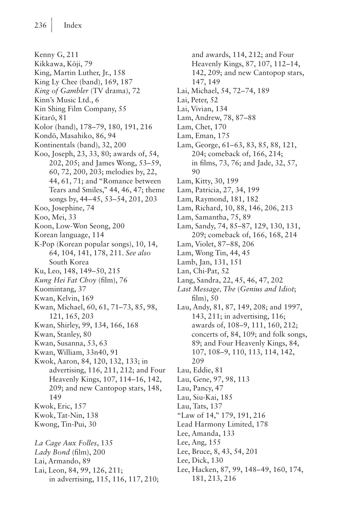Kenny G, 211 Kikkawa, Kōji, 79 King, Martin Luther, Jr., 158 King Ly Chee (band), 169, 187 *King of Gambler* (TV drama), 72 Kinn's Music Ltd., 6 Kin Shing Film Company, 55 Kitarō, 81 Kolor (band), 178–79, 180, 191, 216 Kondō, Masahiko, 86, 94 Kontinentals (band), 32, 200 Koo, Joseph, 23, 33, 80; awards of, 54, 202, 205; and James Wong, 53–59, 60, 72, 200, 203; melodies by, 22, 44, 61, 71; and "Romance between Tears and Smiles," 44, 46, 47; theme songs by, 44–45, 53–54, 201, 203 Koo, Josephine, 74 Koo, Mei, 33 Koon, Low-Won Seong, 200 Korean language, 114 K-Pop (Korean popular songs), 10, 14, 64, 104, 141, 178, 211. *See also* South Korea Ku, Leo, 148, 149–50, 215 *Kung Hei Fat Choy* (film), 76 Kuomintang, 37 Kwan, Kelvin, 169 Kwan, Michael, 60, 61, 71–73, 85, 98, 121, 165, 203 Kwan, Shirley, 99, 134, 166, 168 Kwan, Stanley, 80 Kwan, Susanna, 53, 63 Kwan, William, 33n40, 91 Kwok, Aaron, 84, 120, 132, 133; in advertising, 116, 211, 212; and Four Heavenly Kings, 107, 114–16, 142, 209; and new Cantopop stars, 148, 149 Kwok, Eric, 157 Kwok, Tat-Nin, 138 Kwong, Tin-Pui, 30 *La Cage Aux Folles*, 135 *Lady Bond* (film), 200 Lai, Armando, 89 Lai, Leon, 84, 99, 126, 211; in advertising, 115, 116, 117, 210;

and awards, 114, 212; and Four Heavenly Kings, 87, 107, 112–14, 142, 209; and new Cantopop stars, 147, 149 Lai, Michael, 54, 72–74, 189 Lai, Peter, 52 Lai, Vivian, 134 Lam, Andrew, 78, 87–88 Lam, Chet, 170 Lam, Eman, 175 Lam, George, 61–63, 83, 85, 88, 121, 204; comeback of, 166, 214; in films, 73, 76; and Jade, 32, 57, 90 Lam, Kitty, 30, 199 Lam, Patricia, 27, 34, 199 Lam, Raymond, 181, 182 Lam, Richard, 10, 88, 146, 206, 213 Lam, Samantha, 75, 89 Lam, Sandy, 74, 85–87, 129, 130, 131, 209; comeback of, 166, 168, 214 Lam, Violet, 87–88, 206 Lam, Wong Tin, 44, 45 Lamb, Jan, 131, 151 Lan, Chi-Pat, 52 Lang, Sandra, 22, 45, 46, 47, 202 *Last Message, The* (*Genius and Idiot*; film),  $50$ Lau, Andy, 81, 87, 149, 208; and 1997, 143, 211; in advertising, 116; awards of, 108–9, 111, 160, 212; concerts of, 84, 109; and folk songs, 89; and Four Heavenly Kings, 84, 107, 108–9, 110, 113, 114, 142, 209 Lau, Eddie, 81 Lau, Gene, 97, 98, 113 Lau, Pancy, 47 Lau, Siu-Kai, 185 Lau, Tats, 137 "Law of 14," 179, 191, 216 Lead Harmony Limited, 178 Lee, Amanda, 133 Lee, Ang, 155 Lee, Bruce, 8, 43, 54, 201 Lee, Dick, 130 Lee, Hacken, 87, 99, 148–49, 160, 174,

181, 213, 216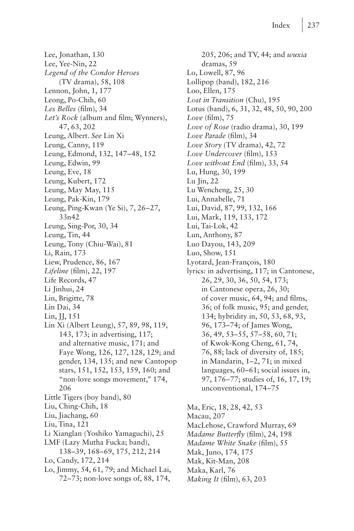Lee, Jonathan, 130 Lee, Yee-Nin, 22 *Legend of the Condor Heroes* (TV drama), 58, 108 Lennon, John, 1, 177 Leong, Po-Chih, 60 Les Belles (film), 34 Let's Rock (album and film; Wynners), 47, 63, 202 Leung, Albert. *See* Lin Xi Leung, Canny, 119 Leung, Edmond, 132, 147–48, 152 Leung, Edwin, 99 Leung, Eve, 18 Leung, Kubert, 172 Leung, May May, 115 Leung, Pak-Kin, 179 Leung, Ping-Kwan (Ye Si), 7, 26–27, 33n42 Leung, Sing-Por, 30, 34 Leung, Tin, 44 Leung, Tony (Chiu-Wai), 81 Li, Rain, 173 Liew, Prudence, 86, 167 *Lifeline* (film), 22, 197 Life Records, 47 Li Jinhui, 24 Lin, Brigitte, 78 Lin Dai, 34 Lin, *II*, 151 Lin Xi (Albert Leung), 57, 89, 98, 119, 143, 173; in advertising, 117; and alternative music, 171; and Faye Wong, 126, 127, 128, 129; and gender, 134, 135; and new Cantopop stars, 151, 152, 153, 159, 160; and "non-love songs movement," 174, 206 Little Tigers (boy band), 80 Liu, Ching-Chih, 18 Liu, Jiachang, 60 Liu, Tina, 121 Li Xianglan (Yoshiko Yamaguchi), 25 LMF (Lazy Mutha Fucka; band), 138–39, 168–69, 175, 212, 214 Lo, Candy, 172, 214 Lo, Jimmy, 54, 61, 79; and Michael Lai, 72–73; non-love songs of, 88, 174,

205, 206; and TV, 44; and *wuxia* dramas, 59 Lo, Lowell, 87, 96 Lollipop (band), 182, 216 Loo, Ellen, 175 *Lost in Transition* (Chu), 195 Lotus (band), 6, 31, 32, 48, 50, 90, 200  $Love$  (film),  $75$ *Love of Rose* (radio drama), 30, 199 *Love Parade* (film), 34 *Love Story* (TV drama), 42, 72 *Love Undercover* (film), 153 *Love without End* (film), 33, 54 Lu, Hung, 30, 199 Lu Jin, 22 Lu Wencheng, 25, 30 Lui, Annabelle, 71 Lui, David, 87, 99, 132, 166 Lui, Mark, 119, 133, 172 Lui, Tai-Lok, 42 Lun, Anthony, 87 Luo Dayou, 143, 209 Luo, Show, 151 Lyotard, Jean-François, 180 lyrics: in advertising, 117; in Cantonese, 26, 29, 30, 36, 50, 54, 173; in Cantonese opera, 26, 30; of cover music, 64, 94; and films, 36; of folk music, 95; and gender, 134; hybridity in, 50, 53, 68, 93, 96, 173–74; of James Wong, 36, 49, 53–55, 57–58, 60, 71; of Kwok-Kong Cheng, 61, 74, 76, 88; lack of diversity of, 185; in Mandarin, 1–2, 71; in mixed languages, 60–61; social issues in, 97, 176–77; studies of, 16, 17, 19; unconventional, 174–75

Ma, Eric, 18, 28, 42, 53 Macau, 207 MacLehose, Crawford Murray, 69 *Madame Butterfly* (film), 24, 198 *Madame White Snake* (film), 55 Mak, Juno, 174, 175 Mak, Kit-Man, 208 Maka, Karl, 76 *Making It* (film), 63, 203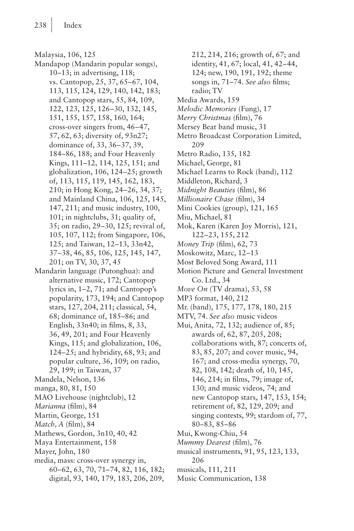- Malaysia, 106, 125
- Mandapop (Mandarin popular songs), 10–13; in advertising, 118; vs. Cantopop, 25, 37, 65–67, 104, 113, 115, 124, 129, 140, 142, 183; and Cantopop stars, 55, 84, 109, 122, 123, 125, 126–30, 132, 145, 151, 155, 157, 158, 160, 164; cross-over singers from, 46–47, 57, 62, 63; diversity of, 93n27; dominance of, 33, 36–37, 39, 184–86, 188; and Four Heavenly Kings, 111–12, 114, 125, 151; and globalization, 106, 124–25; growth of, 113, 115, 119, 145, 162, 183, 210; in Hong Kong, 24–26, 34, 37; and Mainland China, 106, 125, 145, 147, 211; and music industry, 100, 101; in nightclubs, 31; quality of, 35; on radio, 29–30, 125; revival of, 105, 107, 112; from Singapore, 106, 125; and Taiwan, 12–13, 33n42, 37–38, 46, 85, 106, 125, 145, 147, 201; on TV, 30, 37, 45
- Mandarin language (Putonghua): and alternative music, 172; Cantopop lyrics in, 1–2, 71; and Cantopop's popularity, 173, 194; and Cantopop stars, 127, 204, 211; classical, 54, 68; dominance of, 185–86; and English,  $33n40$ ; in films,  $8, 33$ , 36, 49, 201; and Four Heavenly Kings, 115; and globalization, 106, 124–25; and hybridity, 68, 93; and popular culture, 36, 109; on radio, 29, 199; in Taiwan, 37
- Mandela, Nelson, 136
- manga, 80, 81, 150
- MAO Livehouse (nightclub), 12
- *Marianna* (film), 84
- Martin, George, 151
- *Match, A* (film), 84
- Mathews, Gordon, 3n10, 40, 42
- Maya Entertainment, 158
- Mayer, John, 180
- media, mass: cross-over synergy in, 60–62, 63, 70, 71–74, 82, 116, 182; digital, 93, 140, 179, 183, 206, 209,
- 212, 214, 216; growth of, 67; and
	- identity, 41, 67; local, 41, 42–44,
	- 124; new, 190, 191, 192; theme
	- songs in, 71–74. *See also* films;
- radio; TV Media Awards, 159
- *Melodic Memories* (Fung), 17
- *Merry Christmas* (film), 76
- Mersey Beat band music, 31
- Metro Broadcast Corporation Limited, 209
- Metro Radio, 135, 182
- Michael, George, 81
- Michael Learns to Rock (band), 112
- Middleton, Richard, 3
- *Midnight Beauties* (film), 86
- *Millionaire Chase* (film), 34
- Mini Cookies (group), 121, 165
- Miu, Michael, 81
- Mok, Karen (Karen Joy Morris), 121, 122–23, 155, 212
- *Money Trip* (film), 62, 73
- Moskowitz, Marc, 12–13
- Most Beloved Song Award, 111
- Motion Picture and General Investment Co. Ltd., 34
- *Move On* (TV drama), 53, 58
- MP3 format, 140, 212
- Mr. (band), 175, 177, 178, 180, 215
- MTV, 74. *See also* music videos
- Mui, Anita, 72, 132; audience of, 85; awards of, 62, 87, 205, 208; collaborations with, 87; concerts of, 83, 85, 207; and cover music, 94, 167; and cross-media synergy, 70, 82, 108, 142; death of, 10, 145, 146, 214; in films, 79; image of, 130; and music videos, 74; and new Cantopop stars, 147, 153, 154; retirement of, 82, 129, 209; and singing contests, 99; stardom of, 77, 80–83, 85–86
- Mui, Kwong-Chiu, 54
- *Mummy Dearest* (film), 76
- musical instruments, 91, 95, 123, 133, 206
- musicals, 111, 211
- Music Communication, 138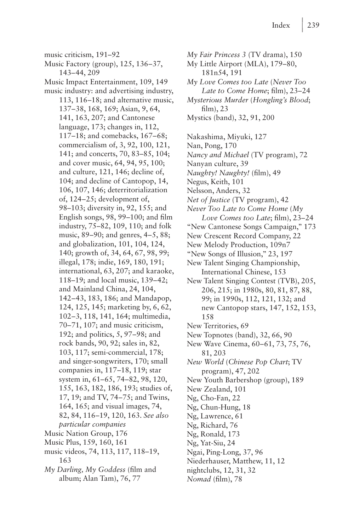music criticism, 191–92 Music Factory (group), 125, 136–37, 143–44, 209 Music Impact Entertainment, 109, 149 music industry: and advertising industry, 113, 116–18; and alternative music, 137–38, 168, 169; Asian, 9, 64, 141, 163, 207; and Cantonese language, 173; changes in, 112, 117–18; and comebacks, 167–68; commercialism of, 3, 92, 100, 121, 141; and concerts, 70, 83–85, 104; and cover music, 64, 94, 95, 100; and culture, 121, 146; decline of, 104; and decline of Cantopop, 14, 106, 107, 146; deterritorialization of, 124–25; development of, 98–103; diversity in, 92, 155; and English songs,  $98, 99-100$ ; and film industry, 75–82, 109, 110; and folk music, 89–90; and genres, 4–5, 88; and globalization, 101, 104, 124, 140; growth of, 34, 64, 67, 98, 99; illegal, 178; indie, 169, 180, 191; international, 63, 207; and karaoke, 118–19; and local music, 139–42; and Mainland China, 24, 104, 142–43, 183, 186; and Mandapop, 124, 125, 145; marketing by, 6, 62, 102–3, 118, 141, 164; multimedia, 70–71, 107; and music criticism, 192; and politics, 5, 97–98; and rock bands, 90, 92; sales in, 82, 103, 117; semi-commercial, 178; and singer-songwriters, 170; small companies in, 117–18, 119; star system in, 61–65, 74–82, 98, 120, 155, 163, 182, 186, 193; studies of, 17, 19; and TV, 74–75; and Twins, 164, 165; and visual images, 74, 82, 84, 116–19, 120, 163. *See also particular companies* Music Nation Group, 176 Music Plus, 159, 160, 161 music videos, 74, 113, 117, 118–19, 163

*My Darling, My Goddess (film and* album; Alan Tam), 76, 77

- *My Fair Princess 3* (TV drama), 150 My Little Airport (MLA), 179–80, 181n54, 191 *My Love Comes too Late* (*Never Too*  Late to Come Home; film), 23-24 *Mysterious Murder* (*Hongling's Blood*; film),  $23$ Mystics (band), 32, 91, 200 Nakashima, Miyuki, 127 Nan, Pong, 170 *Nancy and Michael* (TV program), 72 Nanyan culture, 39 *Naughty! Naughty!* (film), 49 Negus, Keith, 101 Nelsson, Anders, 32 *Net of Justice* (TV program), 42 *Never Too Late to Come Home* (*My Love Comes too Late*; film), 23-24 "New Cantonese Songs Campaign," 173 New Crescent Record Company, 22 New Melody Production, 109n7 "New Songs of Illusion," 23, 197 New Talent Singing Championship, International Chinese, 153 New Talent Singing Contest (TVB), 205, 206, 215; in 1980s, 80, 81, 87, 88, 99; in 1990s, 112, 121, 132; and new Cantopop stars, 147, 152, 153, 158 New Territories, 69 New Topnotes (band), 32, 66, 90 New Wave Cinema, 60–61, 73, 75, 76, 81, 203 *New World* (*Chinese Pop Chart*; TV program), 47, 202 New Youth Barbershop (group), 189 New Zealand, 101
- Ng, Cho-Fan, 22
- Ng, Chun-Hung, 18
- Ng, Lawrence, 61
- Ng, Richard, 76
- Ng, Ronald, 173
- Ng, Yat-Siu, 24
- Ngai, Ping-Long, 37, 96
- Niederhauser, Matthew, 11, 12
- nightclubs, 12, 31, 32
- *Nomad* (film), 78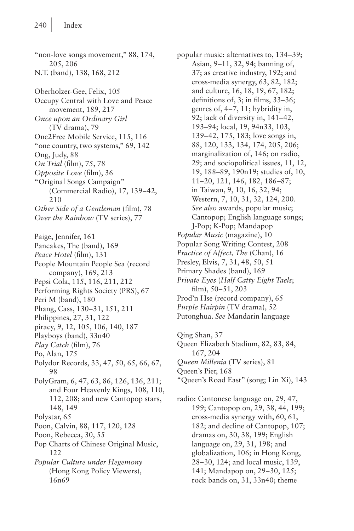"non-love songs movement," 88, 174, 205, 206 N.T. (band), 138, 168, 212

Oberholzer-Gee, Felix, 105 Occupy Central with Love and Peace movement, 189, 217 *Once upon an Ordinary Girl* (TV drama), 79 One2Free Mobile Service, 115, 116 "one country, two systems," 69, 142 Ong, Judy, 88 *On Trial* (film), 75, 78 *Opposite Love* (film), 36 "Original Songs Campaign" (Commercial Radio), 17, 139–42, 210 *Other Side of a Gentleman* (film), 78 *Over the Rainbow* (TV series), 77

Paige, Jennifer, 161 Pancakes, The (band), 169 Peace Hotel (film), 131 People Mountain People Sea (record company), 169, 213 Pepsi Cola, 115, 116, 211, 212 Performing Rights Society (PRS), 67 Peri M (band), 180 Phang, Cass, 130–31, 151, 211 Philippines, 27, 31, 122 piracy, 9, 12, 105, 106, 140, 187 Playboys (band), 33n40 *Play Catch* (film), 76 Po, Alan, 175 Polydor Records, 33, 47, 50, 65, 66, 67, 98 PolyGram, 6, 47, 63, 86, 126, 136, 211; and Four Heavenly Kings, 108, 110, 112, 208; and new Cantopop stars, 148, 149 Polystar, 65 Poon, Calvin, 88, 117, 120, 128 Poon, Rebecca, 30, 55 Pop Charts of Chinese Original Music, 122 *Popular Culture under Hegemony* (Hong Kong Policy Viewers), 16n69

popular music: alternatives to, 134–39; Asian, 9–11, 32, 94; banning of, 37; as creative industry, 192; and cross-media synergy, 63, 82, 182; and culture, 16, 18, 19, 67, 182; definitions of,  $3$ ; in films,  $33-36$ ; genres of, 4–7, 11; hybridity in, 92; lack of diversity in, 141–42, 193–94; local, 19, 94n33, 103, 139–42, 175, 183; love songs in, 88, 120, 133, 134, 174, 205, 206; marginalization of, 146; on radio, 29; and sociopolitical issues, 11, 12, 19, 188–89, 190n19; studies of, 10, 11–20, 121, 146, 182, 186–87; in Taiwan, 9, 10, 16, 32, 94; Western, 7, 10, 31, 32, 124, 200. *See also* awards, popular music; Cantopop; English language songs; J-Pop; K-Pop; Mandapop *Popular Music* (magazine), 10 Popular Song Writing Contest, 208 *Practice of Affect, The* (Chan), 16 Presley, Elvis, 7, 31, 48, 50, 51 Primary Shades (band), 169 *Private Eyes* (*Half Catty Eight Taels*; film),  $50-51$ ,  $203$ Prod'n Hse (record company), 65 *Purple Hairpin* (TV drama), 52 Putonghua. *See* Mandarin language Qing Shan, 37 Queen Elizabeth Stadium, 82, 83, 84, 167, 204

*Queen Millenia* (TV series), 81

Queen's Pier, 168

"Queen's Road East" (song; Lin Xi), 143

radio: Cantonese language on, 29, 47, 199; Cantopop on, 29, 38, 44, 199; cross-media synergy with, 60, 61, 182; and decline of Cantopop, 107; dramas on, 30, 38, 199; English language on, 29, 31, 198; and globalization, 106; in Hong Kong, 28–30, 124; and local music, 139, 141; Mandapop on, 29–30, 125; rock bands on, 31, 33n40; theme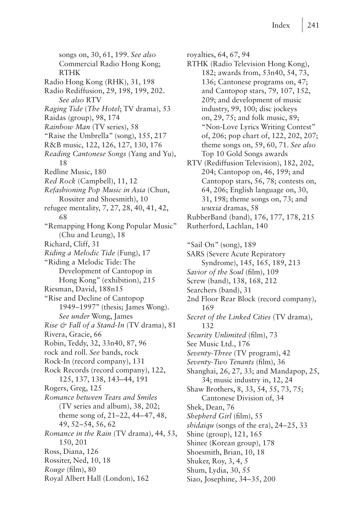songs on, 30, 61, 199. *See also* Commercial Radio Hong Kong; RTHK Radio Hong Kong (RHK), 31, 198 Radio Rediffusion, 29, 198, 199, 202. *See also* RTV *Raging Tide* (*The Hotel*; TV drama), 53 Raidas (group), 98, 174 *Rainbow Man* (TV series), 58 "Raise the Umbrella" (song), 155, 217 R&B music, 122, 126, 127, 130, 176 *Reading Cantonese Songs* (Yang and Yu), 18 Redline Music, 180 *Red Rock* (Campbell), 11, 12 *Refashioning Pop Music in Asia* (Chun, Rossiter and Shoesmith), 10 refugee mentality, 7, 27, 28, 40, 41, 42, 68 "Remapping Hong Kong Popular Music" (Chu and Leung), 18 Richard, Cliff, 31 *Riding a Melodic Tide* (Fung), 17 "Riding a Melodic Tide: The Development of Cantopop in Hong Kong" (exhibition), 215 Riesman, David, 188n15 "Rise and Decline of Cantopop 1949–1997" (thesis; James Wong). *See under* Wong, James *Rise & Fall of a Stand-In* (TV drama), 81 Rivera, Gracie, 66 Robin, Teddy, 32, 33n40, 87, 96 rock and roll. *See* bands, rock Rock-In (record company), 131 Rock Records (record company), 122, 125, 137, 138, 143–44, 191 Rogers, Greg, 125 *Romance between Tears and Smiles* (TV series and album), 38, 202; theme song of, 21–22, 44–47, 48, 49, 52–54, 56, 62 *Romance in the Rain* (TV drama), 44, 53, 150, 201 Ross, Diana, 126 Rossiter, Ned, 10, 18 *Rouge* (film), 80 Royal Albert Hall (London), 162

royalties, 64, 67, 94 RTHK (Radio Television Hong Kong), 182; awards from, 53n40, 54, 73, 136; Cantonese programs on, 47; and Cantopop stars, 79, 107, 152, 209; and development of music industry, 99, 100; disc jockeys on, 29, 75; and folk music, 89; "Non-Love Lyrics Writing Contest" of, 206; pop chart of, 122, 202, 207; theme songs on, 59, 60, 71. *See also* Top 10 Gold Songs awards RTV (Rediffusion Television), 182, 202, 204; Cantopop on, 46, 199; and Cantopop stars, 56, 78; contests on, 64, 206; English language on, 30, 31, 198; theme songs on, 73; and *wuxia* dramas, 58 RubberBand (band), 176, 177, 178, 215 Rutherford, Lachlan, 140 "Sail On" (song), 189 SARS (Severe Acute Repiratory Syndrome), 145, 165, 189, 213 *Savior of the Soul* (film), 109 Screw (band), 138, 168, 212 Searchers (band), 31 2nd Floor Rear Block (record company), 169 *Secret of the Linked Cities* (TV drama), 132 *Security Unlimited* (film), 73 See Music Ltd., 176 *Seventy-Three* (TV program), 42 *Seventy-Two Tenants* (film), 36 Shanghai, 26, 27, 33; and Mandapop, 25, 34; music industry in, 12, 24 Shaw Brothers, 8, 33, 54, 55, 73, 75; Cantonese Division of, 34 Shek, Dean, 76 *Shepherd Girl* (film), 55 *shidaiqu* (songs of the era), 24–25, 33 Shine (group), 121, 165 Shinee (Korean group), 178 Shoesmith, Brian, 10, 18 Shuker, Roy, 3, 4, 5 Shum, Lydia, 30, 55

Siao, Josephine, 34–35, 200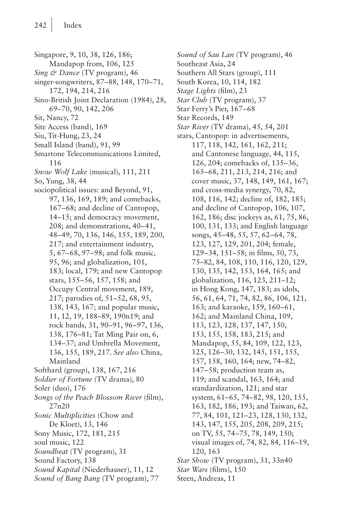Singapore, 9, 10, 38, 126, 186; Mandapop from, 106, 125 *Sing & Dance* (TV program), 46 singer-songwriters, 87–88, 148, 170–71, 172, 194, 214, 216 Sino-British Joint Declaration (1984), 28, 69–70, 90, 142, 206 Sit, Nancy, 72 Site Access (band), 169 Siu, Tit-Hung, 23, 24 Small Island (band), 91, 99 Smartone Telecommunications Limited, 116 *Snow Wolf Lake* (musical), 111, 211 So, Yung, 38, 44 sociopolitical issues: and Beyond, 91, 97, 136, 169, 189; and comebacks, 167–68; and decline of Cantopop, 14–15; and democracy movement, 208; and demonstrations, 40–41, 48–49, 70, 136, 146, 155, 189, 200, 217; and entertainment industry, 5, 67–68, 97–98; and folk music, 95, 96; and globalization, 101, 183; local, 179; and new Cantopop stars, 155–56, 157, 158; and Occupy Central movement, 189, 217; parodies of, 51–52, 68, 95, 138, 143, 167; and popular music, 11, 12, 19, 188–89, 190n19; and rock bands, 31, 90–91, 96–97, 136, 138, 176–81; Tat Ming Pair on, 6, 134–37; and Umbrella Movement, 136, 155, 189, 217. *See also* China, Mainland Softhard (group), 138, 167, 216 *Soldier of Fortune* (TV drama), 80 Soler (duo), 176 *Songs of the Peach Blossom River* (film), 27n20 *Sonic Multiplicities* (Chow and De Kloet), 13, 146 Sony Music, 172, 181, 215 soul music, 122 *Soundbeat* (TV program), 31 Sound Factory, 138 *Sound Kapital* (Niederhauser), 11, 12 *Sound of Bang Bang* (TV program), 77

*Sound of Sau Lan* (TV program), 46 Southeast Asia, 24 Southern All Stars (group), 111 South Korea, 10, 114, 182 *Stage Lights* (film), 23 *Star Club* (TV program), 37 Star Ferry's Pier, 167–68 Star Records, 149 *Star River* (TV drama), 45, 54, 201 stars, Cantopop: in advertisements, 117, 118, 142, 161, 162, 211; and Cantonese language, 44, 115, 126, 204; comebacks of, 135–36, 165–68, 211, 213, 214, 216; and cover music, 37, 148, 149, 161, 167; and cross-media synergy, 70, 82, 108, 116, 142; decline of, 182, 185; and decline of Cantopop, 106, 107, 162, 186; disc jockeys as, 61, 75, 86, 100, 131, 133; and English language songs, 45–48, 55, 57, 62–64, 78, 123, 127, 129, 201, 204; female, 129–34, 151–58; in films, 50, 73, 75–82, 84, 108, 110, 116, 120, 129, 130, 135, 142, 153, 164, 165; and globalization, 116, 123, 211–12; in Hong Kong, 147, 183; as idols, 56, 61, 64, 71, 74, 82, 86, 106, 121, 163; and karaoke, 159, 160–61, 162; and Mainland China, 109, 113, 123, 128, 137, 147, 150, 153, 155, 158, 183, 215; and Mandapop, 55, 84, 109, 122, 123, 125, 126–30, 132, 145, 151, 155, 157, 158, 160, 164; new, 74–82, 147–58; production team as, 119; and scandal, 163, 164; and standardization, 121; and star system, 61–65, 74–82, 98, 120, 155, 163, 182, 186, 193; and Taiwan, 62, 77, 84, 101, 121–23, 128, 130, 132, 143, 147, 155, 205, 208, 209, 215; on TV, 55, 74–75, 78, 149, 150; visual images of, 74, 82, 84, 116–19, 120, 163 *Star Show* (TV program), 31, 33n40 *Star Wars* (films), 150 Steen, Andreas, 11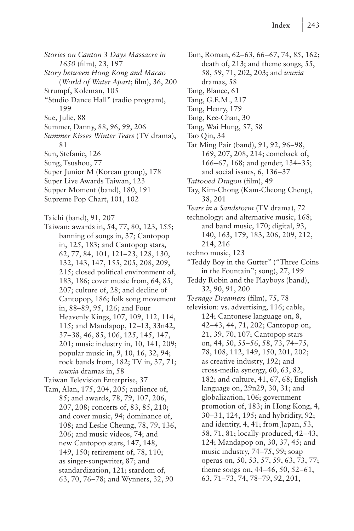*Stories on Canton 3 Days Massacre in 1650* (film), 23, 197

*Story between Hong Kong and Macao (World of Water Apart; film), 36, 200* 

- Strumpf, Koleman, 105
- "Studio Dance Hall" (radio program), 199
- Sue, Julie, 88
- Summer, Danny, 88, 96, 99, 206
- *Summer Kisses Winter Tears* (TV drama), 81
- Sun, Stefanie, 126
- Sung, Tsushou, 77
- Super Junior M (Korean group), 178
- Super Live Awards Taiwan, 123
- Supper Moment (band), 180, 191
- Supreme Pop Chart, 101, 102
- Taichi (band), 91, 207
- Taiwan: awards in, 54, 77, 80, 123, 155; banning of songs in, 37; Cantopop in, 125, 183; and Cantopop stars, 62, 77, 84, 101, 121–23, 128, 130, 132, 143, 147, 155, 205, 208, 209, 215; closed political environment of, 183, 186; cover music from, 64, 85, 207; culture of, 28; and decline of Cantopop, 186; folk song movement in, 88–89, 95, 126; and Four Heavenly Kings, 107, 109, 112, 114, 115; and Mandapop, 12–13, 33n42, 37–38, 46, 85, 106, 125, 145, 147, 201; music industry in, 10, 141, 209; popular music in, 9, 10, 16, 32, 94; rock bands from, 182; TV in, 37, 71; *wuxia* dramas in, 58
- Taiwan Television Enterprise, 37
- Tam, Alan, 175, 204, 205; audience of, 85; and awards, 78, 79, 107, 206, 207, 208; concerts of, 83, 85, 210; and cover music, 94; dominance of, 108; and Leslie Cheung, 78, 79, 136, 206; and music videos, 74; and new Cantopop stars, 147, 148, 149, 150; retirement of, 78, 110; as singer-songwriter, 87; and standardization, 121; stardom of, 63, 70, 76–78; and Wynners, 32, 90
- Tam, Roman, 62–63, 66–67, 74, 85, 162; death of, 213; and theme songs, 55, 58, 59, 71, 202, 203; and *wuxia*
- dramas, 58
- Tang, Blance, 61
- Tang, G.E.M., 217
- Tang, Henry, 179
- Tang, Kee-Chan, 30
- Tang, Wai Hung, 57, 58
- Tao Qin, 34
- Tat Ming Pair (band), 91, 92, 96–98, 169, 207, 208, 214; comeback of, 166–67, 168; and gender, 134–35; and social issues, 6, 136–37
- **Tattooed Dragon** (film), 49
- Tay, Kim-Chong (Kam-Cheong Cheng), 38, 201
- *Tears in a Sandstorm* (TV drama), 72
- technology: and alternative music, 168; and band music, 170; digital, 93, 140, 163, 179, 183, 206, 209, 212, 214, 216
- techno music, 123
- "Teddy Boy in the Gutter" ("Three Coins in the Fountain"; song), 27, 199
- Teddy Robin and the Playboys (band), 32, 90, 91, 200
- *Teenage Dreamers* (film), 75, 78
- television: vs. advertising, 116; cable, 124; Cantonese language on, 8, 42–43, 44, 71, 202; Cantopop on, 21, 39, 70, 107; Cantopop stars on, 44, 50, 55–56, 58, 73, 74–75, 78, 108, 112, 149, 150, 201, 202; as creative industry, 192; and cross-media synergy, 60, 63, 82, 182; and culture, 41, 67, 68; English language on, 29n29, 30, 31; and globalization, 106; government promotion of, 183; in Hong Kong, 4, 30–31, 124, 195; and hybridity, 92; and identity, 4, 41; from Japan, 53, 58, 71, 81; locally-produced, 42–43, 124; Mandapop on, 30, 37, 45; and music industry, 74–75, 99; soap operas on, 50, 53, 57, 59, 63, 73, 77; theme songs on, 44–46, 50, 52–61, 63, 71–73, 74, 78–79, 92, 201,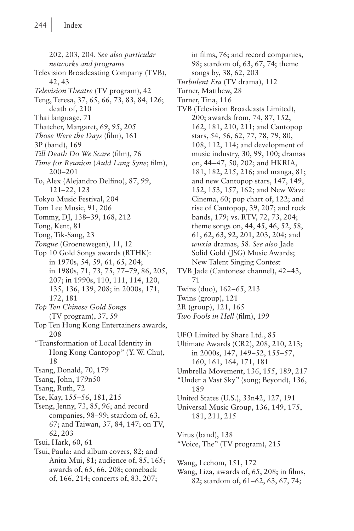202, 203, 204. *See also particular networks and programs* Television Broadcasting Company (TVB), 42, 43 *Television Theatre* (TV program), 42 Teng, Teresa, 37, 65, 66, 73, 83, 84, 126; death of, 210 Thai language, 71 Thatcher, Margaret, 69, 95, 205 *Those Were the Days* (film), 161 3P (band), 169 *Till Death Do We Scare* (film), 76 *Time for Reunion* (*Auld Lang Syne*; film), 200–201 To, Alex (Alejandro Delfino), 87, 99, 121–22, 123 Tokyo Music Festival, 204 Tom Lee Music, 91, 206 Tommy, DJ, 138–39, 168, 212 Tong, Kent, 81 Tong, Tik-Sang, 23 *Tongue* (Groenewegen), 11, 12 Top 10 Gold Songs awards (RTHK): in 1970s, 54, 59, 61, 65, 204; in 1980s, 71, 73, 75, 77–79, 86, 205, 207; in 1990s, 110, 111, 114, 120, 135, 136, 139, 208; in 2000s, 171, 172, 181 *Top Ten Chinese Gold Songs* (TV program), 37, 59 Top Ten Hong Kong Entertainers awards, 208 "Transformation of Local Identity in Hong Kong Cantopop" (Y. W. Chu), 18 Tsang, Donald, 70, 179 Tsang, John, 179n50 Tsang, Ruth, 72 Tse, Kay, 155–56, 181, 215 Tseng, Jenny, 73, 85, 96; and record companies, 98–99; stardom of, 63, 67; and Taiwan, 37, 84, 147; on TV, 62, 203 Tsui, Hark, 60, 61 Tsui, Paula: and album covers, 82; and Anita Mui, 81; audience of, 85, 165;

awards of, 65, 66, 208; comeback of, 166, 214; concerts of, 83, 207; in films, 76; and record companies, 98; stardom of, 63, 67, 74; theme songs by, 38, 62, 203

- *Turbulent Era* (TV drama), 112
- Turner, Matthew, 28
- Turner, Tina, 116
- TVB (Television Broadcasts Limited), 200; awards from, 74, 87, 152, 162, 181, 210, 211; and Cantopop stars, 54, 56, 62, 77, 78, 79, 80, 108, 112, 114; and development of music industry, 30, 99, 100; dramas on, 44–47, 50, 202; and HKRIA, 181, 182, 215, 216; and manga, 81; and new Cantopop stars, 147, 149, 152, 153, 157, 162; and New Wave Cinema, 60; pop chart of, 122; and rise of Cantopop, 39, 207; and rock bands, 179; vs. RTV, 72, 73, 204; theme songs on, 44, 45, 46, 52, 58, 61, 62, 63, 92, 201, 203, 204; and *wuxia* dramas, 58. *See also* Jade Solid Gold (JSG) Music Awards; New Talent Singing Contest
- TVB Jade (Cantonese channel), 42–43, 71
- Twins (duo), 162–65, 213
- Twins (group), 121
- 2R (group), 121, 165
- *Two Fools in Hell* (film), 199
- UFO Limited by Share Ltd., 85 Ultimate Awards (CR2), 208, 210, 213; in 2000s, 147, 149–52, 155–57, 160, 161, 164, 171, 181 Umbrella Movement, 136, 155, 189, 217 "Under a Vast Sky" (song; Beyond), 136, 189 United States (U.S.), 33n42, 127, 191 Universal Music Group, 136, 149, 175, 181, 211, 215
- Virus (band), 138
- "Voice, The" (TV program), 215
- Wang, Leehom, 151, 172
- Wang, Liza, awards of, 65, 208; in films, 82; stardom of, 61–62, 63, 67, 74;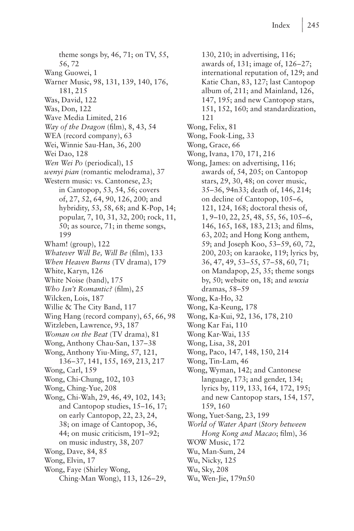theme songs by, 46, 71; on TV, 55, 56, 72 Wang Guowei, 1 Warner Music, 98, 131, 139, 140, 176, 181, 215 Was, David, 122 Was, Don, 122 Wave Media Limited, 216 *Way of the Dragon* (film), 8, 43, 54 WEA (record company), 63 Wei, Winnie Sau-Han, 36, 200 Wei Dao, 128 *Wen Wei Po* (periodical), 15 *wenyi pian* (romantic melodrama), 37 Western music: vs. Cantonese, 23; in Cantopop, 53, 54, 56; covers of, 27, 52, 64, 90, 126, 200; and hybridity, 53, 58, 68; and K-Pop, 14; popular, 7, 10, 31, 32, 200; rock, 11, 50; as source, 71; in theme songs, 199 Wham! (group), 122 *Whatever Will Be, Will Be (film), 133 When Heaven Burns* (TV drama), 179 White, Karyn, 126 White Noise (band), 175 *Who Isn't Romantic?* (film), 25 Wilcken, Lois, 187 Willie & The City Band, 117 Wing Hang (record company), 65, 66, 98 Witzleben, Lawrence, 93, 187 *Woman on the Beat* (TV drama), 81 Wong, Anthony Chau-San, 137–38 Wong, Anthony Yiu-Ming, 57, 121, 136–37, 141, 155, 169, 213, 217 Wong, Carl, 159 Wong, Chi-Chung, 102, 103 Wong, Ching-Yue, 208 Wong, Chi-Wah, 29, 46, 49, 102, 143; and Cantopop studies, 15–16, 17; on early Cantopop, 22, 23, 24, 38; on image of Cantopop, 36, 44; on music criticism, 191–92; on music industry, 38, 207 Wong, Dave, 84, 85 Wong, Elvin, 17

Wong, Faye (Shirley Wong, Ching-Man Wong), 113, 126–29, 130, 210; in advertising, 116;

- awards of, 131; image of, 126–27; international reputation of, 129; and Katie Chan, 83, 127; last Cantopop album of, 211; and Mainland, 126, 147, 195; and new Cantopop stars, 151, 152, 160; and standardization, 121
- Wong, Felix, 81
- Wong, Fook-Ling, 33
- Wong, Grace, 66
- Wong, Ivana, 170, 171, 216
- Wong, James: on advertising, 116; awards of, 54, 205; on Cantopop stars, 29, 30, 48; on cover music, 35–36, 94n33; death of, 146, 214; on decline of Cantopop, 105–6, 121, 124, 168; doctoral thesis of, 1, 9–10, 22, 25, 48, 55, 56, 105–6, 146, 165, 168, 183, 213; and films, 63, 202; and Hong Kong anthem, 59; and Joseph Koo, 53–59, 60, 72, 200, 203; on karaoke, 119; lyrics by, 36, 47, 49, 53–55, 57–58, 60, 71; on Mandapop, 25, 35; theme songs by, 50; website on, 18; and *wuxia* dramas, 58–59
- Wong, Ka-Ho, 32
- Wong, Ka-Keung, 178
- Wong, Ka-Kui, 92, 136, 178, 210
- Wong Kar Fai, 110
- Wong Kar-Wai, 135
- Wong, Lisa, 38, 201
- Wong, Paco, 147, 148, 150, 214
- Wong, Tin-Lam, 46
- Wong, Wyman, 142; and Cantonese language, 173; and gender, 134; lyrics by, 119, 133, 164, 172, 195; and new Cantopop stars, 154, 157, 159, 160
- Wong, Yuet-Sang, 23, 199
- *World of Water Apart* (*Story between Hong Kong and Macao*; film), 36
- WOW Music, 172
- Wu, Man-Sum, 24
- Wu, Nicky, 125
- Wu, Sky, 208
- Wu, Wen-Jie, 179n50